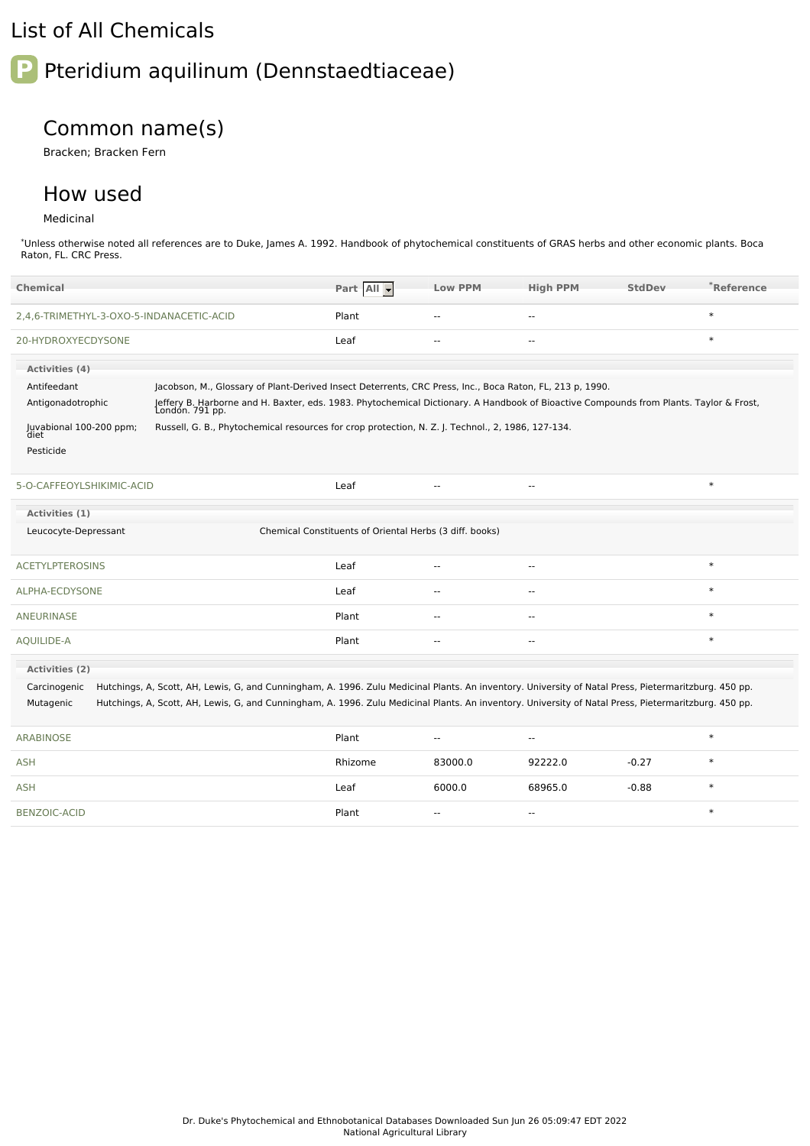### List of All Chemicals

# **P** Pteridium aquilinum (Dennstaedtiaceae)

## Common name(s)

Bracken; Bracken Fern

### How used

### Medicinal

\*Unless otherwise noted all references are to Duke, James A. 1992. Handbook of phytochemical constituents of GRAS herbs and other economic plants. Boca Raton, FL. CRC Press.

| <b>Chemical</b>                          |                                                                                                                                                           | Part All                                                | <b>Low PPM</b>           | <b>High PPM</b>          | <b>StdDev</b> | *Reference |
|------------------------------------------|-----------------------------------------------------------------------------------------------------------------------------------------------------------|---------------------------------------------------------|--------------------------|--------------------------|---------------|------------|
| 2,4,6-TRIMETHYL-3-OXO-5-INDANACETIC-ACID |                                                                                                                                                           | Plant                                                   | $\overline{\phantom{a}}$ | $\overline{a}$           |               | $\ast$     |
| 20-HYDROXYECDYSONE                       |                                                                                                                                                           | Leaf                                                    | $\overline{a}$           | $\sim$ $\sim$            |               | $\ast$     |
| Activities (4)                           |                                                                                                                                                           |                                                         |                          |                          |               |            |
| Antifeedant                              | Jacobson, M., Glossary of Plant-Derived Insect Deterrents, CRC Press, Inc., Boca Raton, FL, 213 p, 1990.                                                  |                                                         |                          |                          |               |            |
| Antigonadotrophic                        | Jeffery B. Harborne and H. Baxter, eds. 1983. Phytochemical Dictionary. A Handbook of Bioactive Compounds from Plants. Taylor & Frost,<br>London. 791 pp. |                                                         |                          |                          |               |            |
| Juvabional 100-200 ppm;<br>diet          | Russell, G. B., Phytochemical resources for crop protection, N. Z. J. Technol., 2, 1986, 127-134.                                                         |                                                         |                          |                          |               |            |
| Pesticide                                |                                                                                                                                                           |                                                         |                          |                          |               |            |
| 5-O-CAFFEOYLSHIKIMIC-ACID                |                                                                                                                                                           | Leaf                                                    | --                       | --                       |               | $\ast$     |
| Activities (1)                           |                                                                                                                                                           |                                                         |                          |                          |               |            |
| Leucocyte-Depressant                     |                                                                                                                                                           | Chemical Constituents of Oriental Herbs (3 diff. books) |                          |                          |               |            |
| <b>ACETYLPTEROSINS</b>                   |                                                                                                                                                           | Leaf                                                    | Ц.                       | $-$                      |               | $\ast$     |
| ALPHA-ECDYSONE                           |                                                                                                                                                           | Leaf                                                    | $\overline{a}$           | $\sim$ $\sim$            |               | $\ast$     |
| ANEURINASE                               |                                                                                                                                                           | Plant                                                   | $\sim$                   | $\sim$                   |               | $\ast$     |
| AQUILIDE-A                               |                                                                                                                                                           | Plant                                                   | $\overline{a}$           | $\sim$                   |               | $\ast$     |
| <b>Activities (2)</b>                    |                                                                                                                                                           |                                                         |                          |                          |               |            |
| Carcinogenic                             | Hutchings, A, Scott, AH, Lewis, G, and Cunningham, A. 1996. Zulu Medicinal Plants. An inventory. University of Natal Press, Pietermaritzburg. 450 pp.     |                                                         |                          |                          |               |            |
| Mutagenic                                | Hutchings, A, Scott, AH, Lewis, G, and Cunningham, A. 1996. Zulu Medicinal Plants. An inventory. University of Natal Press, Pietermaritzburg. 450 pp.     |                                                         |                          |                          |               |            |
| <b>ARABINOSE</b>                         |                                                                                                                                                           | Plant                                                   | --                       | --                       |               | $\ast$     |
| <b>ASH</b>                               |                                                                                                                                                           | Rhizome                                                 | 83000.0                  | 92222.0                  | $-0.27$       | $\ast$     |
| <b>ASH</b>                               |                                                                                                                                                           | Leaf                                                    | 6000.0                   | 68965.0                  | $-0.88$       | $\ast$     |
| <b>BENZOIC-ACID</b>                      |                                                                                                                                                           | Plant                                                   | $\overline{\phantom{a}}$ | $\overline{\phantom{a}}$ |               | $\ast$     |
|                                          |                                                                                                                                                           |                                                         |                          |                          |               |            |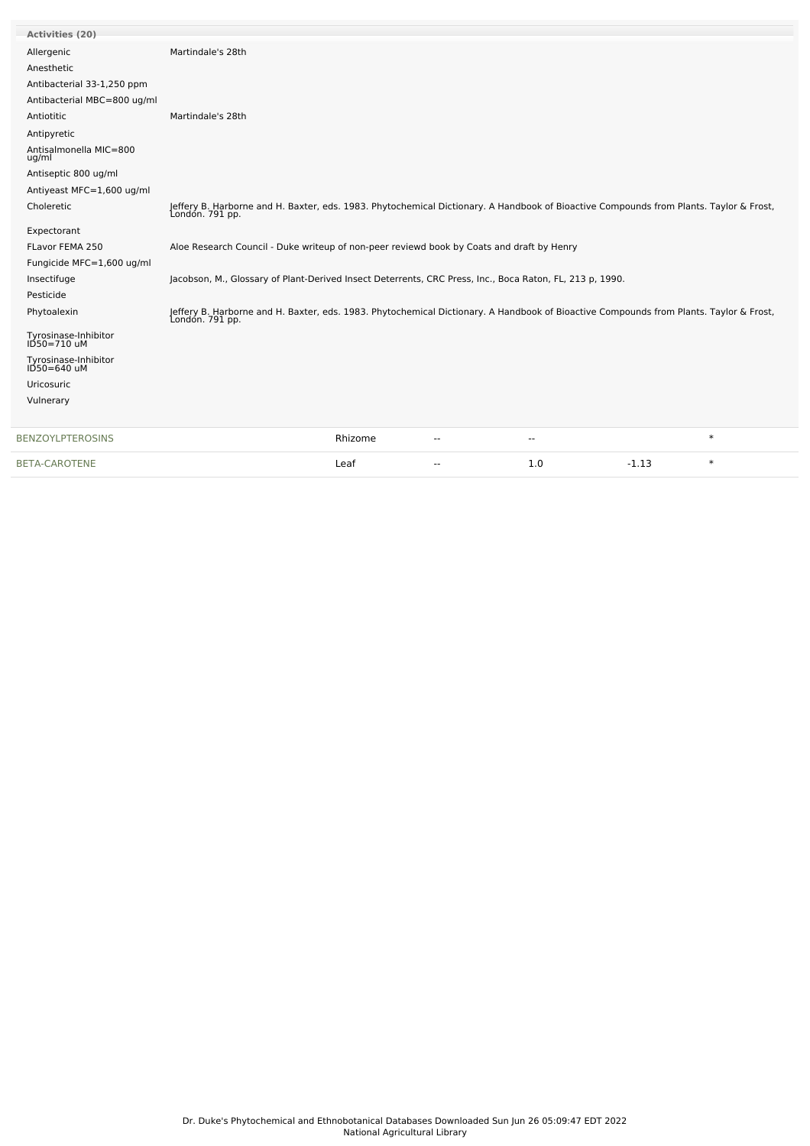| <b>Activities (20)</b>                  |                                                                                                                                                           |         |                          |     |         |        |
|-----------------------------------------|-----------------------------------------------------------------------------------------------------------------------------------------------------------|---------|--------------------------|-----|---------|--------|
| Allergenic                              | Martindale's 28th                                                                                                                                         |         |                          |     |         |        |
| Anesthetic                              |                                                                                                                                                           |         |                          |     |         |        |
| Antibacterial 33-1,250 ppm              |                                                                                                                                                           |         |                          |     |         |        |
| Antibacterial MBC=800 ug/ml             |                                                                                                                                                           |         |                          |     |         |        |
| Antiotitic                              | Martindale's 28th                                                                                                                                         |         |                          |     |         |        |
| Antipyretic                             |                                                                                                                                                           |         |                          |     |         |        |
| Antisalmonella MIC=800<br>ug/ml         |                                                                                                                                                           |         |                          |     |         |        |
| Antiseptic 800 ug/ml                    |                                                                                                                                                           |         |                          |     |         |        |
| Antiyeast MFC=1,600 ug/ml               |                                                                                                                                                           |         |                          |     |         |        |
| Choleretic                              | Jeffery B. Harborne and H. Baxter, eds. 1983. Phytochemical Dictionary. A Handbook of Bioactive Compounds from Plants. Taylor & Frost,<br>London. 791 pp. |         |                          |     |         |        |
| Expectorant                             |                                                                                                                                                           |         |                          |     |         |        |
| FLavor FEMA 250                         | Aloe Research Council - Duke writeup of non-peer reviewd book by Coats and draft by Henry                                                                 |         |                          |     |         |        |
| Fungicide MFC=1,600 ug/ml               |                                                                                                                                                           |         |                          |     |         |        |
| Insectifuge                             | Jacobson, M., Glossary of Plant-Derived Insect Deterrents, CRC Press, Inc., Boca Raton, FL, 213 p, 1990.                                                  |         |                          |     |         |        |
| Pesticide                               |                                                                                                                                                           |         |                          |     |         |        |
| Phytoalexin                             | Jeffery B. Harborne and H. Baxter, eds. 1983. Phytochemical Dictionary. A Handbook of Bioactive Compounds from Plants. Taylor & Frost,<br>London. 791 pp. |         |                          |     |         |        |
| Tyrosinase-Inhibitor<br>ID50=710 uM     |                                                                                                                                                           |         |                          |     |         |        |
| Tyrosinase-Inhibitor<br>$1D50 = 640$ uM |                                                                                                                                                           |         |                          |     |         |        |
| Uricosuric                              |                                                                                                                                                           |         |                          |     |         |        |
| Vulnerary                               |                                                                                                                                                           |         |                          |     |         |        |
| <b>BENZOYLPTEROSINS</b>                 |                                                                                                                                                           | Rhizome | $\overline{\phantom{a}}$ | --  |         | $\ast$ |
| <b>BETA-CAROTENE</b>                    |                                                                                                                                                           | Leaf    |                          | 1.0 | $-1.13$ | $\ast$ |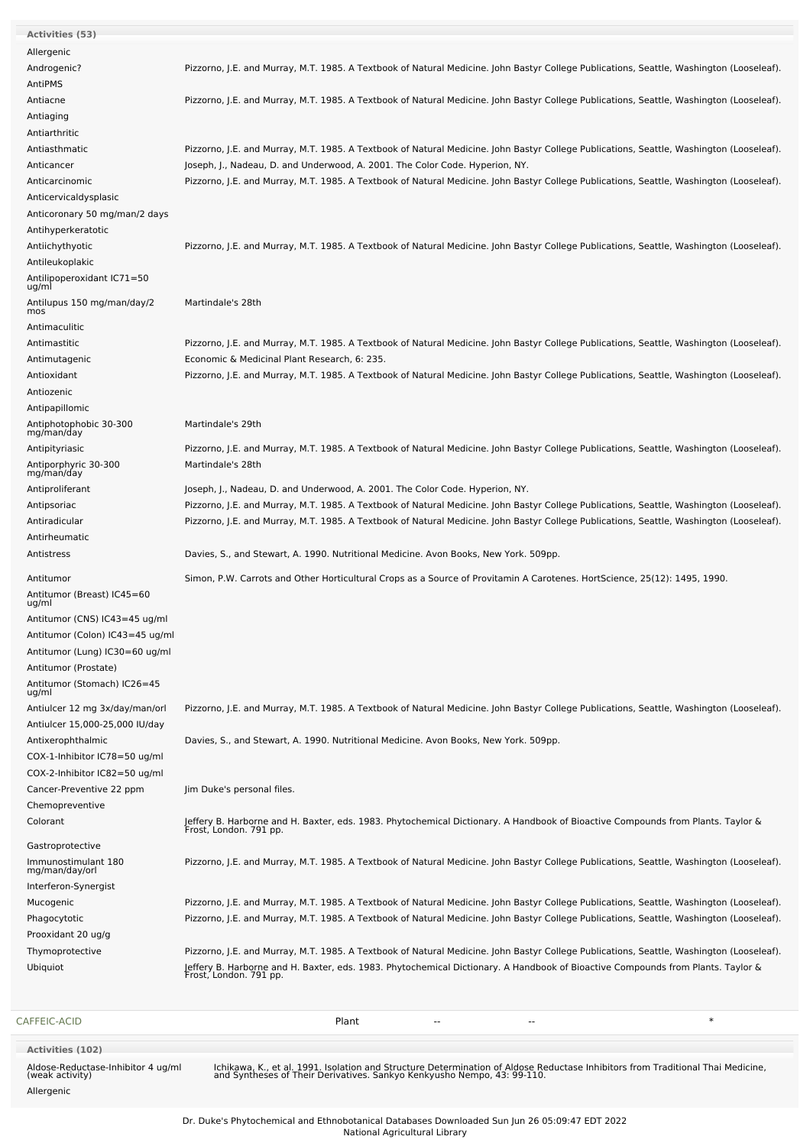| <b>CAFFEIC-ACID</b>                                       | $\ast$<br>Plant                                                                                                                                           |
|-----------------------------------------------------------|-----------------------------------------------------------------------------------------------------------------------------------------------------------|
|                                                           |                                                                                                                                                           |
|                                                           |                                                                                                                                                           |
| Ubiquiot                                                  | Jeffery B. Harborne and H. Baxter, eds. 1983. Phytochemical Dictionary. A Handbook of Bioactive Compounds from Plants. Taylor &<br>Frost, London. 791 pp. |
| Thymoprotective                                           | Pizzorno, J.E. and Murray, M.T. 1985. A Textbook of Natural Medicine. John Bastyr College Publications, Seattle, Washington (Looseleaf).                  |
| Prooxidant 20 ug/g                                        |                                                                                                                                                           |
| Phagocytotic                                              | Pizzorno, J.E. and Murray, M.T. 1985. A Textbook of Natural Medicine. John Bastyr College Publications, Seattle, Washington (Looseleaf).                  |
| Mucogenic                                                 | Pizzorno, J.E. and Murray, M.T. 1985. A Textbook of Natural Medicine. John Bastyr College Publications, Seattle, Washington (Looseleaf).                  |
| Interferon-Synergist                                      |                                                                                                                                                           |
| Immunostimulant 180<br>mg/man/day/orl                     | Pizzorno, J.E. and Murray, M.T. 1985. A Textbook of Natural Medicine. John Bastyr College Publications, Seattle, Washington (Looseleaf).                  |
| Gastroprotective                                          |                                                                                                                                                           |
|                                                           |                                                                                                                                                           |
| Colorant                                                  | Jeffery B. Harborne and H. Baxter, eds. 1983. Phytochemical Dictionary. A Handbook of Bioactive Compounds from Plants. Taylor &<br>Frost, London. 791 pp. |
| Chemopreventive                                           |                                                                                                                                                           |
| COX-2-Inhibitor IC82=50 ug/ml<br>Cancer-Preventive 22 ppm | Jim Duke's personal files.                                                                                                                                |
| COX-1-Inhibitor IC78=50 ug/ml                             |                                                                                                                                                           |
| Antixerophthalmic                                         | Davies, S., and Stewart, A. 1990. Nutritional Medicine. Avon Books, New York. 509pp.                                                                      |
| Antiulcer 15,000-25,000 IU/day                            |                                                                                                                                                           |
| Antiulcer 12 mg 3x/day/man/orl                            | Pizzorno, J.E. and Murray, M.T. 1985. A Textbook of Natural Medicine. John Bastyr College Publications, Seattle, Washington (Looseleaf).                  |
| ug/ml                                                     |                                                                                                                                                           |
| Antitumor (Stomach) IC26=45                               |                                                                                                                                                           |
| Antitumor (Prostate)                                      |                                                                                                                                                           |
| Antitumor (Lung) IC30=60 ug/ml                            |                                                                                                                                                           |
| Antitumor (Colon) IC43=45 ug/ml                           |                                                                                                                                                           |
| Antitumor (CNS) IC43=45 ug/ml                             |                                                                                                                                                           |
| Antitumor (Breast) IC45=60<br>ug/ml                       |                                                                                                                                                           |
| Antitumor                                                 | Simon, P.W. Carrots and Other Horticultural Crops as a Source of Provitamin A Carotenes. HortScience, 25(12): 1495, 1990.                                 |
|                                                           |                                                                                                                                                           |
| Antirheumatic<br>Antistress                               | Davies, S., and Stewart, A. 1990. Nutritional Medicine. Avon Books, New York. 509pp.                                                                      |
| Antiradicular                                             | Pizzorno, J.E. and Murray, M.T. 1985. A Textbook of Natural Medicine. John Bastyr College Publications, Seattle, Washington (Looseleaf).                  |
| Antipsoriac                                               | Pizzorno, J.E. and Murray, M.T. 1985. A Textbook of Natural Medicine. John Bastyr College Publications, Seattle, Washington (Looseleaf).                  |
| Antiproliferant                                           | Joseph, J., Nadeau, D. and Underwood, A. 2001. The Color Code. Hyperion, NY.                                                                              |
| mg/man/day                                                |                                                                                                                                                           |
| Antiporphyric 30-300                                      | Martindale's 28th                                                                                                                                         |
| Antipityriasic                                            | Pizzorno, J.E. and Murray, M.T. 1985. A Textbook of Natural Medicine. John Bastyr College Publications, Seattle, Washington (Looseleaf).                  |
| Antiphotophobic 30-300<br>mg/man/day                      | Martindale's 29th                                                                                                                                         |
| Antipapillomic                                            |                                                                                                                                                           |
| Antiozenic                                                |                                                                                                                                                           |
| Antioxidant                                               | Pizzorno, J.E. and Murray, M.T. 1985. A Textbook of Natural Medicine. John Bastyr College Publications, Seattle, Washington (Looseleaf).                  |
| Antimutagenic                                             | Economic & Medicinal Plant Research, 6: 235.                                                                                                              |
| Antimastitic                                              | Pizzorno, J.E. and Murray, M.T. 1985. A Textbook of Natural Medicine. John Bastyr College Publications, Seattle, Washington (Looseleaf).                  |
| Antimaculitic                                             |                                                                                                                                                           |
| Antilupus 150 mg/man/day/2<br>mos                         | Martindale's 28th                                                                                                                                         |
| Antilipoperoxidant IC71=50<br>ug/ml                       |                                                                                                                                                           |
| Antileukoplakic                                           |                                                                                                                                                           |
| Antiichythyotic                                           | Pizzorno, J.E. and Murray, M.T. 1985. A Textbook of Natural Medicine. John Bastyr College Publications, Seattle, Washington (Looseleaf).                  |
| Antihyperkeratotic                                        |                                                                                                                                                           |
| Anticoronary 50 mg/man/2 days                             |                                                                                                                                                           |
| Anticervicaldysplasic                                     |                                                                                                                                                           |
| Anticarcinomic                                            | Pizzorno, J.E. and Murray, M.T. 1985. A Textbook of Natural Medicine. John Bastyr College Publications, Seattle, Washington (Looseleaf).                  |
| Anticancer                                                | Joseph, J., Nadeau, D. and Underwood, A. 2001. The Color Code. Hyperion, NY.                                                                              |
| Antiasthmatic                                             | Pizzorno, J.E. and Murray, M.T. 1985. A Textbook of Natural Medicine. John Bastyr College Publications, Seattle, Washington (Looseleaf).                  |
| Antiarthritic                                             |                                                                                                                                                           |
| Antiaging                                                 |                                                                                                                                                           |
| Antiacne                                                  | Pizzorno, J.E. and Murray, M.T. 1985. A Textbook of Natural Medicine. John Bastyr College Publications, Seattle, Washington (Looseleaf).                  |
| AntiPMS                                                   |                                                                                                                                                           |
| Androgenic?                                               | Pizzorno, J.E. and Murray, M.T. 1985. A Textbook of Natural Medicine. John Bastyr College Publications, Seattle, Washington (Looseleaf).                  |
| Allergenic                                                |                                                                                                                                                           |
| Activities (53)                                           |                                                                                                                                                           |

Aldose-Reductase-Inhibitor 4 ug/ml (weak activity) Allergenic

Ichikawa, K., et al. 1991. Isolation and Structure Determination of Aldose Reductase Inhibitors from Traditional Thai Medicine, and Syntheses of Their Derivatives. Sankyo Kenkyusho Nempo, 43: 99-110.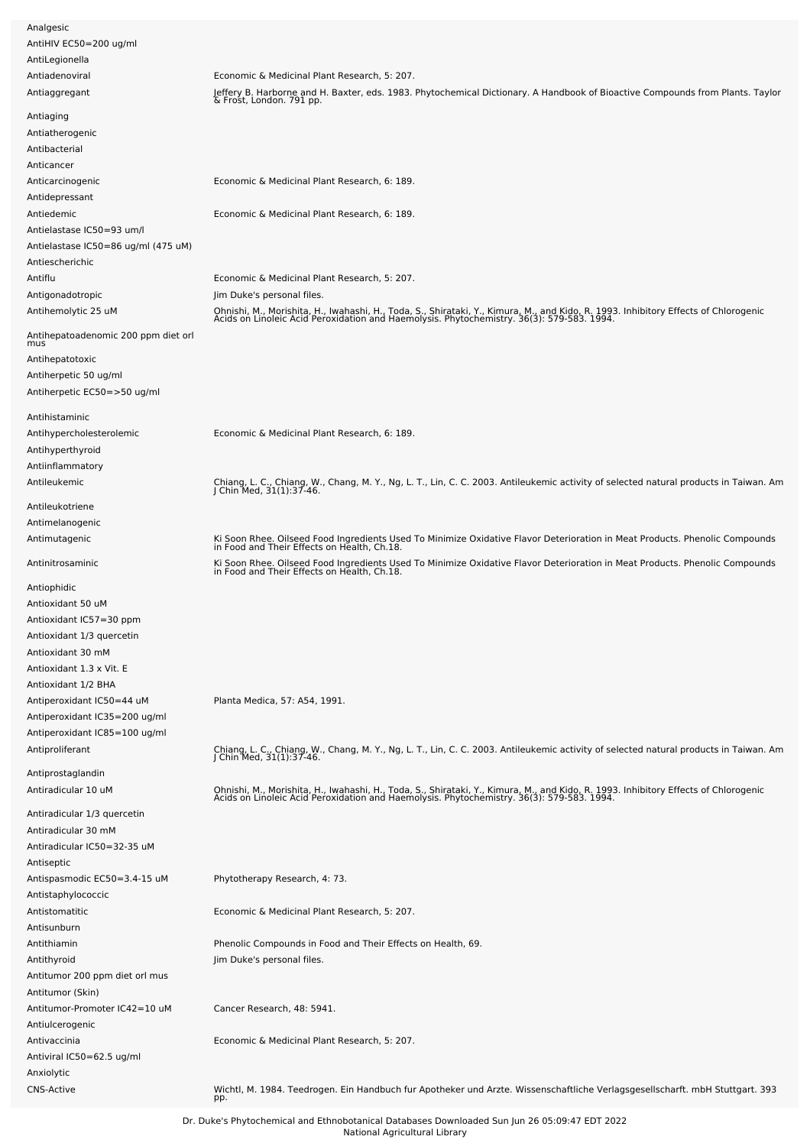| Analgesic                                  |                                                                                                                                                                                                                                  |
|--------------------------------------------|----------------------------------------------------------------------------------------------------------------------------------------------------------------------------------------------------------------------------------|
| AntiHIV EC50=200 ug/ml                     |                                                                                                                                                                                                                                  |
| AntiLegionella                             |                                                                                                                                                                                                                                  |
| Antiadenoviral                             | Economic & Medicinal Plant Research, 5: 207.                                                                                                                                                                                     |
| Antiaggregant                              |                                                                                                                                                                                                                                  |
|                                            | Jeffery B. Harborne and H. Baxter, eds. 1983. Phytochemical Dictionary. A Handbook of Bioactive Compounds from Plants. Taylor<br>& Frost, London. 791 pp.                                                                        |
| Antiaging                                  |                                                                                                                                                                                                                                  |
| Antiatherogenic                            |                                                                                                                                                                                                                                  |
| Antibacterial                              |                                                                                                                                                                                                                                  |
| Anticancer                                 |                                                                                                                                                                                                                                  |
| Anticarcinogenic                           | Economic & Medicinal Plant Research, 6: 189.                                                                                                                                                                                     |
| Antidepressant                             |                                                                                                                                                                                                                                  |
| Antiedemic                                 | Economic & Medicinal Plant Research, 6: 189.                                                                                                                                                                                     |
|                                            |                                                                                                                                                                                                                                  |
| Antielastase IC50=93 um/l                  |                                                                                                                                                                                                                                  |
| Antielastase IC50=86 ug/ml (475 uM)        |                                                                                                                                                                                                                                  |
| Antiescherichic                            |                                                                                                                                                                                                                                  |
| Antiflu                                    | Economic & Medicinal Plant Research, 5: 207.                                                                                                                                                                                     |
| Antigonadotropic                           | Jim Duke's personal files.                                                                                                                                                                                                       |
| Antihemolytic 25 uM                        | Ohnishi, M., Morishita, H., Iwahashi, H., Toda, S., Shirataki, Y., Kimura, M., and Kido, R. 1993. Inhibitory Effects of Chlorogenic<br>Acids on Linoleic Acid Peroxidation and Haemolysis. Phytochemistry. 36(3): 579-583. 1994. |
|                                            |                                                                                                                                                                                                                                  |
| Antihepatoadenomic 200 ppm diet orl<br>mus |                                                                                                                                                                                                                                  |
| Antihepatotoxic                            |                                                                                                                                                                                                                                  |
| Antiherpetic 50 ug/ml                      |                                                                                                                                                                                                                                  |
| Antiherpetic EC50=>50 ug/ml                |                                                                                                                                                                                                                                  |
|                                            |                                                                                                                                                                                                                                  |
| Antihistaminic                             |                                                                                                                                                                                                                                  |
| Antihypercholesterolemic                   | Economic & Medicinal Plant Research, 6: 189.                                                                                                                                                                                     |
| Antihyperthyroid                           |                                                                                                                                                                                                                                  |
| Antiinflammatory                           |                                                                                                                                                                                                                                  |
| Antileukemic                               | Chiang, L. C., Chiang, W., Chang, M. Y., Ng, L. T., Lin, C. C. 2003. Antileukemic activity of selected natural products in Taiwan. Am<br>J Chin Med, 31(1):37-46.                                                                |
|                                            |                                                                                                                                                                                                                                  |
| Antileukotriene                            |                                                                                                                                                                                                                                  |
| Antimelanogenic                            |                                                                                                                                                                                                                                  |
| Antimutagenic                              | Ki Soon Rhee. Oilseed Food Ingredients Used To Minimize Oxidative Flavor Deterioration in Meat Products. Phenolic Compounds<br>in Food and Their Effects on Health, Ch.18.                                                       |
|                                            |                                                                                                                                                                                                                                  |
| Antinitrosaminic                           | Ki Soon Rhee. Oilseed Food Ingredients Used To Minimize Oxidative Flavor Deterioration in Meat Products. Phenolic Compounds<br>in Food and Their Effects on Health, Ch.18.                                                       |
| Antiophidic                                |                                                                                                                                                                                                                                  |
| Antioxidant 50 uM                          |                                                                                                                                                                                                                                  |
| Antioxidant IC57=30 ppm                    |                                                                                                                                                                                                                                  |
| Antioxidant 1/3 quercetin                  |                                                                                                                                                                                                                                  |
| Antioxidant 30 mM                          |                                                                                                                                                                                                                                  |
|                                            |                                                                                                                                                                                                                                  |
| Antioxidant 1.3 x Vit. E                   |                                                                                                                                                                                                                                  |
| Antioxidant 1/2 BHA                        |                                                                                                                                                                                                                                  |
| Antiperoxidant IC50=44 uM                  | Planta Medica, 57: A54, 1991.                                                                                                                                                                                                    |
| Antiperoxidant IC35=200 ug/ml              |                                                                                                                                                                                                                                  |
| Antiperoxidant IC85=100 ug/ml              |                                                                                                                                                                                                                                  |
| Antiproliferant                            | Chiang, L. C., Chiang, W., Chang, M. Y., Ng, L. T., Lin, C. C. 2003. Antileukemic activity of selected natural products in Taiwan. Am<br>J Chin Med, 31(1):37-46.                                                                |
|                                            |                                                                                                                                                                                                                                  |
| Antiprostaglandin                          |                                                                                                                                                                                                                                  |
| Antiradicular 10 uM                        | Ohnishi, M., Morishita, H., Iwahashi, H., Toda, S., Shirataki, Y., Kimura, M., and Kido, R. 1993. Inhibitory Effects of Chlorogenic<br>Acids on Linoleic Acid Peroxidation and Haemolysis. Phytochemistry. 36(3): 579-583. 1994. |
| Antiradicular 1/3 quercetin                |                                                                                                                                                                                                                                  |
| Antiradicular 30 mM                        |                                                                                                                                                                                                                                  |
| Antiradicular IC50=32-35 uM                |                                                                                                                                                                                                                                  |
| Antiseptic                                 |                                                                                                                                                                                                                                  |
| Antispasmodic EC50=3.4-15 uM               | Phytotherapy Research, 4: 73.                                                                                                                                                                                                    |
| Antistaphylococcic                         |                                                                                                                                                                                                                                  |
|                                            |                                                                                                                                                                                                                                  |
| Antistomatitic                             | Economic & Medicinal Plant Research, 5: 207.                                                                                                                                                                                     |
| Antisunburn                                |                                                                                                                                                                                                                                  |
| Antithiamin                                | Phenolic Compounds in Food and Their Effects on Health, 69.                                                                                                                                                                      |
| Antithyroid                                | Jim Duke's personal files.                                                                                                                                                                                                       |
| Antitumor 200 ppm diet orl mus             |                                                                                                                                                                                                                                  |
| Antitumor (Skin)                           |                                                                                                                                                                                                                                  |
| Antitumor-Promoter IC42=10 uM              | Cancer Research, 48: 5941.                                                                                                                                                                                                       |
| Antiulcerogenic                            |                                                                                                                                                                                                                                  |
| Antivaccinia                               | Economic & Medicinal Plant Research, 5: 207.                                                                                                                                                                                     |
| Antiviral IC50=62.5 ug/ml                  |                                                                                                                                                                                                                                  |
| Anxiolytic                                 |                                                                                                                                                                                                                                  |
| <b>CNS-Active</b>                          | Wichtl, M. 1984. Teedrogen. Ein Handbuch fur Apotheker und Arzte. Wissenschaftliche Verlagsgesellscharft. mbH Stuttgart. 393                                                                                                     |
|                                            | pp.                                                                                                                                                                                                                              |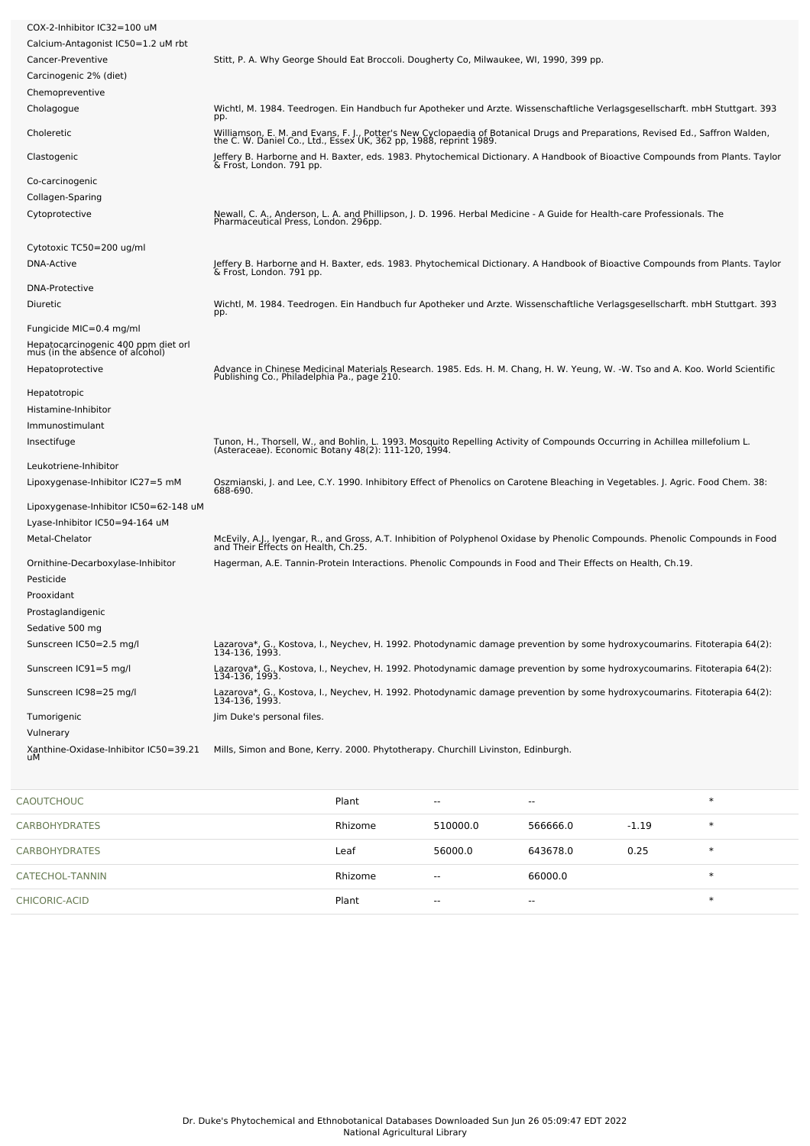| CARBOHYDRATES                                                          | Rhizome                                                                                                                                                                                             | 510000.0 | 566666.0 | $-1.19$ | $\ast$ |
|------------------------------------------------------------------------|-----------------------------------------------------------------------------------------------------------------------------------------------------------------------------------------------------|----------|----------|---------|--------|
| CAOUTCHOUC                                                             | Plant                                                                                                                                                                                               |          |          |         | $\ast$ |
|                                                                        |                                                                                                                                                                                                     |          |          |         |        |
| Xanthine-Oxidase-Inhibitor IC50=39.21<br>uМ                            | Mills, Simon and Bone, Kerry. 2000. Phytotherapy. Churchill Livinston, Edinburgh.                                                                                                                   |          |          |         |        |
| Vulnerary                                                              |                                                                                                                                                                                                     |          |          |         |        |
| Tumorigenic                                                            | 134-136, 1993.<br>Jim Duke's personal files.                                                                                                                                                        |          |          |         |        |
| Sunscreen IC98=25 mg/l                                                 | 134-136, 1993.<br>Lazarova*, G., Kostova, I., Neychev, H. 1992. Photodynamic damage prevention by some hydroxycoumarins. Fitoterapia 64(2):                                                         |          |          |         |        |
| Sunscreen IC91=5 mg/l                                                  | 134-136, 1993.<br>Lazarova*, G., Kostova, I., Neychev, H. 1992. Photodynamic damage prevention by some hydroxycoumarins. Fitoterapia 64(2):                                                         |          |          |         |        |
| Sunscreen IC50=2.5 mg/l                                                | Lazarova*, G., Kostova, I., Neychev, H. 1992. Photodynamic damage prevention by some hydroxycoumarins. Fitoterapia 64(2):                                                                           |          |          |         |        |
| Prostaglandigenic<br>Sedative 500 mg                                   |                                                                                                                                                                                                     |          |          |         |        |
| Prooxidant                                                             |                                                                                                                                                                                                     |          |          |         |        |
| Pesticide                                                              |                                                                                                                                                                                                     |          |          |         |        |
| Ornithine-Decarboxylase-Inhibitor                                      | Hagerman, A.E. Tannin-Protein Interactions. Phenolic Compounds in Food and Their Effects on Health, Ch.19.                                                                                          |          |          |         |        |
| Metal-Chelator                                                         | McEvily, A.J., Ivengar, R., and Gross, A.T. Inhibition of Polyphenol Oxidase by Phenolic Compounds. Phenolic Compounds in Food<br>and Their Effects on Health, Ch.25.                               |          |          |         |        |
| Lyase-Inhibitor IC50=94-164 uM                                         |                                                                                                                                                                                                     |          |          |         |        |
| Lipoxygenase-Inhibitor IC50=62-148 uM                                  |                                                                                                                                                                                                     |          |          |         |        |
| Lipoxygenase-Inhibitor IC27=5 mM                                       | Oszmianski, J. and Lee, C.Y. 1990. Inhibitory Effect of Phenolics on Carotene Bleaching in Vegetables. J. Agric. Food Chem. 38:<br>688-690.                                                         |          |          |         |        |
| Leukotriene-Inhibitor                                                  |                                                                                                                                                                                                     |          |          |         |        |
| Insectifuge                                                            | Tunon, H., Thorsell, W., and Bohlin, L. 1993. Mosquito Repelling Activity of Compounds Occurring in Achillea millefolium L.<br>(Asteraceae). Economic Botany 48(2): 111-120, 1994.                  |          |          |         |        |
| Immunostimulant                                                        |                                                                                                                                                                                                     |          |          |         |        |
| Histamine-Inhibitor                                                    |                                                                                                                                                                                                     |          |          |         |        |
| Hepatotropic                                                           | Publishing Co., Philadelphia Pa., page 210.                                                                                                                                                         |          |          |         |        |
| Hepatoprotective                                                       | Advance in Chinese Medicinal Materials Research. 1985. Eds. H. M. Chang, H. W. Yeung, W. -W. Tso and A. Koo. World Scientific                                                                       |          |          |         |        |
| Hepatocarcinogenic 400 ppm diet orl<br>mus (in the absence of alcohol) |                                                                                                                                                                                                     |          |          |         |        |
| Fungicide MIC=0.4 mg/ml                                                |                                                                                                                                                                                                     |          |          |         |        |
| Diuretic                                                               | Wichtl, M. 1984. Teedrogen. Ein Handbuch fur Apotheker und Arzte. Wissenschaftliche Verlagsgesellscharft. mbH Stuttgart. 393<br>pp.                                                                 |          |          |         |        |
| <b>DNA-Protective</b>                                                  |                                                                                                                                                                                                     |          |          |         |        |
| <b>DNA-Active</b>                                                      | Jeffery B. Harborne and H. Baxter, eds. 1983. Phytochemical Dictionary. A Handbook of Bioactive Compounds from Plants. Taylor<br>& Frost, London. 791 pp.                                           |          |          |         |        |
| Cytotoxic TC50=200 ug/ml                                               |                                                                                                                                                                                                     |          |          |         |        |
|                                                                        | Pharmaceutical Press, London. 296pp.                                                                                                                                                                |          |          |         |        |
| Collagen-Sparing<br>Cytoprotective                                     | Newall, C. A., Anderson, L. A. and Phillipson, J. D. 1996. Herbal Medicine - A Guide for Health-care Professionals. The                                                                             |          |          |         |        |
| Co-carcinogenic                                                        |                                                                                                                                                                                                     |          |          |         |        |
| Clastogenic                                                            | Jeffery B. Harborne and H. Baxter, eds. 1983. Phytochemical Dictionary. A Handbook of Bioactive Compounds from Plants. Taylor<br>& Frost, London. 791 pp.                                           |          |          |         |        |
|                                                                        | Williamson, E. M. and Evans, F. J., Potter's New Cyclopaedia of Botanical Drugs and Preparations, Revised Ed., Saffron Walden,<br>the C. W. Daniel Co., Ltd., Essex UK, 362 pp, 1988, reprint 1989. |          |          |         |        |
| Choleretic                                                             | pp.                                                                                                                                                                                                 |          |          |         |        |
| Chemopreventive<br>Cholagogue                                          | Wichtl, M. 1984. Teedrogen. Ein Handbuch fur Apotheker und Arzte. Wissenschaftliche Verlagsgesellscharft. mbH Stuttgart. 393                                                                        |          |          |         |        |
| Carcinogenic 2% (diet)                                                 |                                                                                                                                                                                                     |          |          |         |        |
| Cancer-Preventive                                                      | Stitt, P. A. Why George Should Eat Broccoli. Dougherty Co, Milwaukee, WI, 1990, 399 pp.                                                                                                             |          |          |         |        |
| Calcium-Antagonist IC50=1.2 uM rbt                                     |                                                                                                                                                                                                     |          |          |         |        |
| COX-2-Inhibitor IC32=100 uM                                            |                                                                                                                                                                                                     |          |          |         |        |
|                                                                        |                                                                                                                                                                                                     |          |          |         |        |

| CARBOHYDRATES   | Rhizome | 510000.0                 | 566666.0      | $-1.19$ |   |
|-----------------|---------|--------------------------|---------------|---------|---|
| CARBOHYDRATES   | Leaf    | 56000.0                  | 643678.0      | 0.25    |   |
| CATECHOL-TANNIN | Rhizome | $\overline{\phantom{a}}$ | 66000.0       |         | ж |
| CHICORIC-ACID   | Plant   | $\overline{\phantom{a}}$ | $\sim$ $\sim$ |         | ∗ |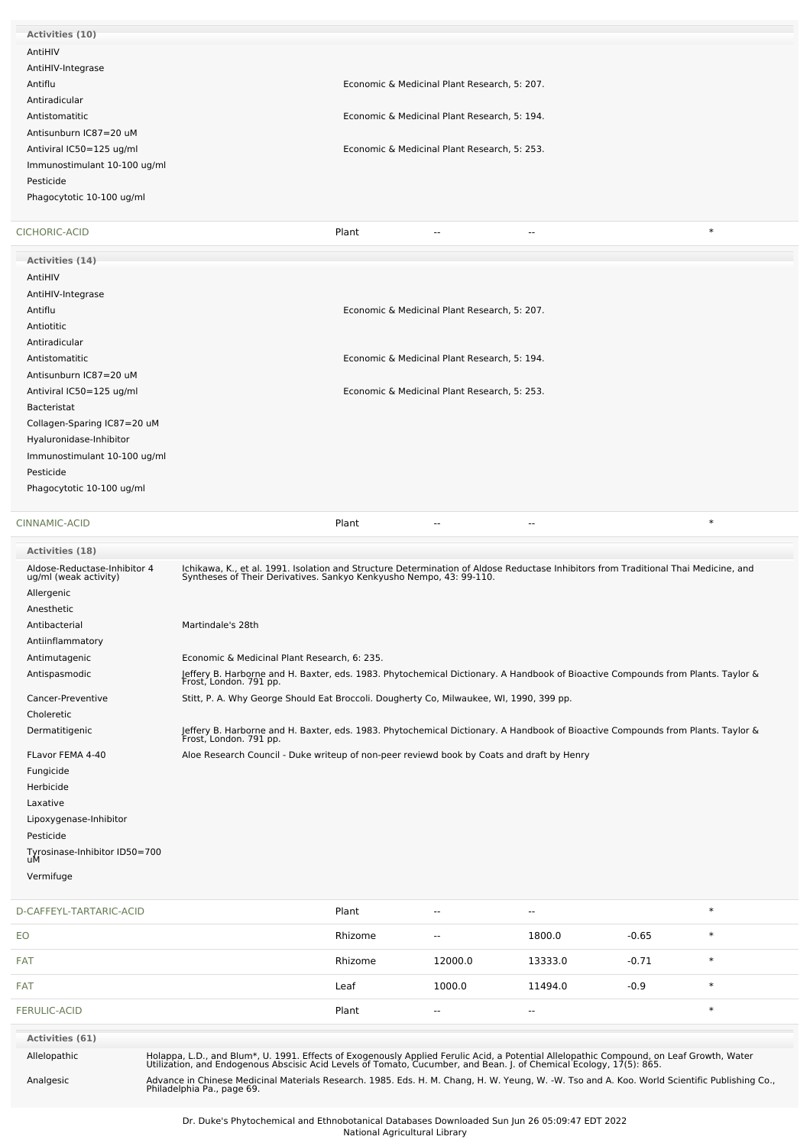| Activities (10)              |                                                     |        |
|------------------------------|-----------------------------------------------------|--------|
| AntiHIV                      |                                                     |        |
| AntiHIV-Integrase            |                                                     |        |
| Antiflu                      | Economic & Medicinal Plant Research, 5: 207.        |        |
| Antiradicular                |                                                     |        |
| Antistomatitic               | Economic & Medicinal Plant Research, 5: 194.        |        |
| Antisunburn IC87=20 uM       |                                                     |        |
| Antiviral IC50=125 ug/ml     | Economic & Medicinal Plant Research, 5: 253.        |        |
| Immunostimulant 10-100 ug/ml |                                                     |        |
| Pesticide                    |                                                     |        |
| Phagocytotic 10-100 ug/ml    |                                                     |        |
|                              |                                                     |        |
| CICHORIC-ACID                | Plant<br>$\overline{\phantom{a}}$<br>$\overline{a}$ | $\ast$ |
| Activities (14)              |                                                     |        |
| AntiHIV                      |                                                     |        |
| AntiHIV-Integrase            |                                                     |        |
| Antiflu                      | Economic & Medicinal Plant Research, 5: 207.        |        |
| Antiotitic                   |                                                     |        |
| Antiradicular                |                                                     |        |
| Antistomatitic               | Economic & Medicinal Plant Research, 5: 194.        |        |
| Antisunburn IC87=20 uM       |                                                     |        |
| Antiviral IC50=125 ug/ml     | Economic & Medicinal Plant Research, 5: 253.        |        |
| <b>Bacteristat</b>           |                                                     |        |
| Collagen-Sparing IC87=20 uM  |                                                     |        |
| Hyaluronidase-Inhibitor      |                                                     |        |
| Immunostimulant 10-100 ug/ml |                                                     |        |
| Pesticide                    |                                                     |        |
| Phagocytotic 10-100 ug/ml    |                                                     |        |
|                              |                                                     |        |
| CINNAMIC-ACID                | Plant<br>--                                         | $\ast$ |
|                              |                                                     |        |

| <b>Activities (18)</b>                                                            |                                                                                                                                                                                                            |
|-----------------------------------------------------------------------------------|------------------------------------------------------------------------------------------------------------------------------------------------------------------------------------------------------------|
| Aldose-Reductase-Inhibitor 4<br>ug/ml (weak activity)<br>Allergenic<br>Anesthetic | Ichikawa, K., et al. 1991. Isolation and Structure Determination of Aldose Reductase Inhibitors from Traditional Thai Medicine, and<br>Syntheses of Their Derivatives. Sankyo Kenkyusho Nempo, 43: 99-110. |
| Antibacterial                                                                     | Martindale's 28th                                                                                                                                                                                          |
| Antiinflammatory                                                                  |                                                                                                                                                                                                            |
| Antimutagenic                                                                     | Economic & Medicinal Plant Research, 6: 235.                                                                                                                                                               |
| Antispasmodic                                                                     | Jeffery B. Harborne and H. Baxter, eds. 1983. Phytochemical Dictionary. A Handbook of Bioactive Compounds from Plants. Taylor &<br>Frost, London. 791 pp.                                                  |
| Cancer-Preventive                                                                 | Stitt, P. A. Why George Should Eat Broccoli. Dougherty Co, Milwaukee, WI, 1990, 399 pp.                                                                                                                    |
| Choleretic                                                                        |                                                                                                                                                                                                            |
| Dermatitigenic                                                                    | Jeffery B. Harborne and H. Baxter, eds. 1983. Phytochemical Dictionary. A Handbook of Bioactive Compounds from Plants. Taylor &<br>Frost, London. 791 pp.                                                  |
| FLavor FEMA 4-40                                                                  | Aloe Research Council - Duke writeup of non-peer reviewd book by Coats and draft by Henry                                                                                                                  |
| Fungicide                                                                         |                                                                                                                                                                                                            |
| Herbicide                                                                         |                                                                                                                                                                                                            |
| Laxative                                                                          |                                                                                                                                                                                                            |
| Lipoxygenase-Inhibitor                                                            |                                                                                                                                                                                                            |
| Pesticide                                                                         |                                                                                                                                                                                                            |
| Tyrosinase-Inhibitor ID50=700<br>uМ                                               |                                                                                                                                                                                                            |
| Vermifuge                                                                         |                                                                                                                                                                                                            |
|                                                                                   |                                                                                                                                                                                                            |

| D-CAFFEYL-TARTARIC-ACID |                                                                                                                                                                                                                                   | Plant   | $\sim$ $\sim$            | $\overline{\phantom{a}}$ |         | $\ast$ |  |
|-------------------------|-----------------------------------------------------------------------------------------------------------------------------------------------------------------------------------------------------------------------------------|---------|--------------------------|--------------------------|---------|--------|--|
| EO                      |                                                                                                                                                                                                                                   | Rhizome | $\overline{\phantom{a}}$ | 1800.0                   | $-0.65$ | $\ast$ |  |
| <b>FAT</b>              |                                                                                                                                                                                                                                   | Rhizome | 12000.0                  | 13333.0                  | $-0.71$ | $\ast$ |  |
| <b>FAT</b>              |                                                                                                                                                                                                                                   | Leaf    | 1000.0                   | 11494.0                  | $-0.9$  | $\ast$ |  |
| FERULIC-ACID            |                                                                                                                                                                                                                                   | Plant   | $\overline{\phantom{a}}$ | $\overline{\phantom{a}}$ |         | $\ast$ |  |
| <b>Activities (61)</b>  |                                                                                                                                                                                                                                   |         |                          |                          |         |        |  |
| Allelopathic            | Holappa, L.D., and Blum*, U. 1991. Effects of Exogenously Applied Ferulic Acid, a Potential Allelopathic Compound, on Leaf Growth, Water<br>Utilization, and Endogenous Abscisic Acid Levels of Tomato, Cucumber, and Bean. J. of |         |                          |                          |         |        |  |

Analgesic Advance in Chinese Medicinal Materials Research. 1985. Eds. H. M. Chang, H. W. Yeung, W. -W. Tso and A. Koo. World Scientific Publishing Co., Philadelphia Pa., page 69. Dr. Duke's Phytochemical and Ethnobotanical Databases Downloaded Sun Jun 26 05:09:47 EDT 2022

National Agricultural Library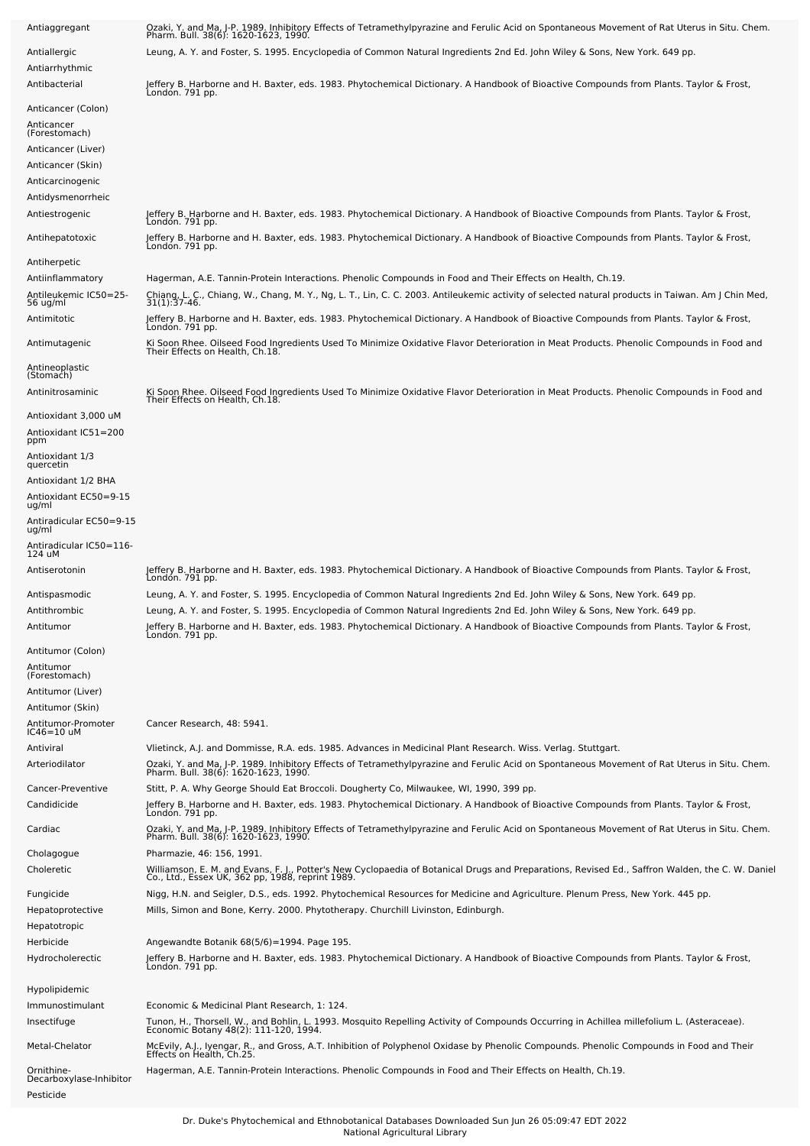| Antiaggregant                                | Ozaki, Y. and Ma, J-P. 1989. Inhibitory Effects of Tetramethylpyrazine and Ferulic Acid on Spontaneous Movement of Rat Uterus in Situ. Chem.<br>Pharm. Bull. 38(6): 1620-1623, 1990.                                                                                                   |
|----------------------------------------------|----------------------------------------------------------------------------------------------------------------------------------------------------------------------------------------------------------------------------------------------------------------------------------------|
| Antiallergic<br>Antiarrhythmic               | Leung, A. Y. and Foster, S. 1995. Encyclopedia of Common Natural Ingredients 2nd Ed. John Wiley & Sons, New York. 649 pp.                                                                                                                                                              |
| Antibacterial                                | Jeffery B. Harborne and H. Baxter, eds. 1983. Phytochemical Dictionary. A Handbook of Bioactive Compounds from Plants. Taylor & Frost,<br>Londón. 791 pp.                                                                                                                              |
| Anticancer (Colon)                           |                                                                                                                                                                                                                                                                                        |
| Anticancer<br>(Forestomach)                  |                                                                                                                                                                                                                                                                                        |
| Anticancer (Liver)                           |                                                                                                                                                                                                                                                                                        |
| Anticancer (Skin)                            |                                                                                                                                                                                                                                                                                        |
| Anticarcinogenic                             |                                                                                                                                                                                                                                                                                        |
| Antidysmenorrheic                            |                                                                                                                                                                                                                                                                                        |
| Antiestrogenic                               | Jeffery B. Harborne and H. Baxter, eds. 1983. Phytochemical Dictionary. A Handbook of Bioactive Compounds from Plants. Taylor & Frost,<br>Londón. 791 pp.                                                                                                                              |
| Antihepatotoxic<br>Antiherpetic              | Jeffery B. Harborne and H. Baxter, eds. 1983. Phytochemical Dictionary. A Handbook of Bioactive Compounds from Plants. Taylor & Frost,<br>Londón. 791 pp.                                                                                                                              |
| Antiinflammatory                             | Hagerman, A.E. Tannin-Protein Interactions. Phenolic Compounds in Food and Their Effects on Health, Ch.19.                                                                                                                                                                             |
| Antileukemic IC50=25-<br>56 ug/ml            | Chiang, L. C., Chiang, W., Chang, M. Y., Ng, L. T., Lin, C. C. 2003. Antileukemic activity of selected natural products in Taiwan. Am J Chin Med,<br>$31(1)$ : 37-46.                                                                                                                  |
| Antimitotic                                  | Jeffery B. Harborne and H. Baxter, eds. 1983. Phytochemical Dictionary. A Handbook of Bioactive Compounds from Plants. Taylor & Frost,<br>Londón. 791 pp.                                                                                                                              |
| Antimutagenic                                | Ki Soon Rhee. Oilseed Food Ingredients Used To Minimize Oxidative Flavor Deterioration in Meat Products. Phenolic Compounds in Food and<br>Their Effects on Health, Ch.18.                                                                                                             |
| Antineoplastic<br>(Stomach)                  |                                                                                                                                                                                                                                                                                        |
| Antinitrosaminic                             | Ki Soon Rhee. Oilseed Food Ingredients Used To Minimize Oxidative Flavor Deterioration in Meat Products. Phenolic Compounds in Food and<br>Their Effects on Health, Ch.18.                                                                                                             |
| Antioxidant 3,000 uM<br>Antioxidant IC51=200 |                                                                                                                                                                                                                                                                                        |
| ppm<br>Antioxidant 1/3<br>quercetin          |                                                                                                                                                                                                                                                                                        |
| Antioxidant 1/2 BHA                          |                                                                                                                                                                                                                                                                                        |
| Antioxidant EC50=9-15                        |                                                                                                                                                                                                                                                                                        |
| ug/ml<br>Antiradicular EC50=9-15<br>ug/ml    |                                                                                                                                                                                                                                                                                        |
| -Antiradicular IC50=116<br>124 uM            |                                                                                                                                                                                                                                                                                        |
| Antiserotonin                                | Jeffery B. Harborne and H. Baxter, eds. 1983. Phytochemical Dictionary. A Handbook of Bioactive Compounds from Plants. Taylor & Frost,<br>Londón. 791 pp.                                                                                                                              |
| Antispasmodic                                | Leung, A. Y. and Foster, S. 1995. Encyclopedia of Common Natural Ingredients 2nd Ed. John Wiley & Sons, New York. 649 pp.                                                                                                                                                              |
| Antithrombic<br>Antitumor                    | Leung, A. Y. and Foster, S. 1995. Encyclopedia of Common Natural Ingredients 2nd Ed. John Wiley & Sons, New York. 649 pp.<br>Jeffery B. Harborne and H. Baxter, eds. 1983. Phytochemical Dictionary. A Handbook of Bioactive Compounds from Plants. Taylor & Frost,<br>Londón. 791 pp. |
| Antitumor (Colon)                            |                                                                                                                                                                                                                                                                                        |
| Antitumor                                    |                                                                                                                                                                                                                                                                                        |
| (Forestomach)                                |                                                                                                                                                                                                                                                                                        |
| Antitumor (Liver)<br>Antitumor (Skin)        |                                                                                                                                                                                                                                                                                        |
| Antitumor-Promoter<br>IC46=10 uM             | Cancer Research, 48: 5941.                                                                                                                                                                                                                                                             |
| Antiviral                                    | Vlietinck, A.J. and Dommisse, R.A. eds. 1985. Advances in Medicinal Plant Research. Wiss. Verlag. Stuttgart.                                                                                                                                                                           |
| Arteriodilator                               | Ozaki, Y. and Ma, J-P. 1989. Inhibitory Effects of Tetramethylpyrazine and Ferulic Acid on Spontaneous Movement of Rat Uterus in Situ. Chem.<br>Pharm. Bull. 38(6): 1620-1623, 1990.                                                                                                   |
| Cancer-Preventive<br>Candidicide             | Stitt, P. A. Why George Should Eat Broccoli. Dougherty Co, Milwaukee, WI, 1990, 399 pp.<br>Jeffery B. Harborne and H. Baxter, eds. 1983. Phytochemical Dictionary. A Handbook of Bioactive Compounds from Plants. Taylor & Frost,<br>London. 791 pp.                                   |
| Cardiac                                      | Ozaki, Y. and Ma, J-P. 1989. Inhibitory Effects of Tetramethylpyrazine and Ferulic Acid on Spontaneous Movement of Rat Uterus in Situ. Chem.<br>Pharm. Bull. 38(6): 1620-1623, 1990.                                                                                                   |
| Cholagogue                                   | Pharmazie, 46: 156, 1991.                                                                                                                                                                                                                                                              |
| Choleretic                                   | Williamson, E. M. and Evans, F. J., Potter's New Cyclopaedia of Botanical Drugs and Preparations, Revised Ed., Saffron Walden, the C. W. Daniel<br>Co., Ltd., Essex UK, 362 pp, 1988, reprint 1989.                                                                                    |
| Fungicide                                    | Nigg, H.N. and Seigler, D.S., eds. 1992. Phytochemical Resources for Medicine and Agriculture. Plenum Press, New York. 445 pp.                                                                                                                                                         |
| Hepatoprotective<br>Hepatotropic             | Mills, Simon and Bone, Kerry. 2000. Phytotherapy. Churchill Livinston, Edinburgh.                                                                                                                                                                                                      |
| Herbicide                                    | Angewandte Botanik 68(5/6)=1994. Page 195.                                                                                                                                                                                                                                             |
| Hydrocholerectic                             | Jeffery B. Harborne and H. Baxter, eds. 1983. Phytochemical Dictionary. A Handbook of Bioactive Compounds from Plants. Taylor & Frost,<br>Londón. 791 pp.                                                                                                                              |
| Hypolipidemic                                |                                                                                                                                                                                                                                                                                        |
| Immunostimulant<br>Insectifuge               | Economic & Medicinal Plant Research, 1: 124.<br>Tunon, H., Thorsell, W., and Bohlin, L. 1993. Mosquito Repelling Activity of Compounds Occurring in Achillea millefolium L. (Asteraceae).<br>Economic Botany 48(2): 111-120, 1994.                                                     |
| Metal-Chelator                               | McEvily, A.J., Iyengar, R., and Gross, A.T. Inhibition of Polyphenol Oxidase by Phenolic Compounds. Phenolic Compounds in Food and Their<br>Effects on Health, Ch.25.                                                                                                                  |
| Ornithine-<br>Decarboxylase-Inhibitor        | Hagerman, A.E. Tannin-Protein Interactions. Phenolic Compounds in Food and Their Effects on Health, Ch.19.                                                                                                                                                                             |
| Pesticide                                    |                                                                                                                                                                                                                                                                                        |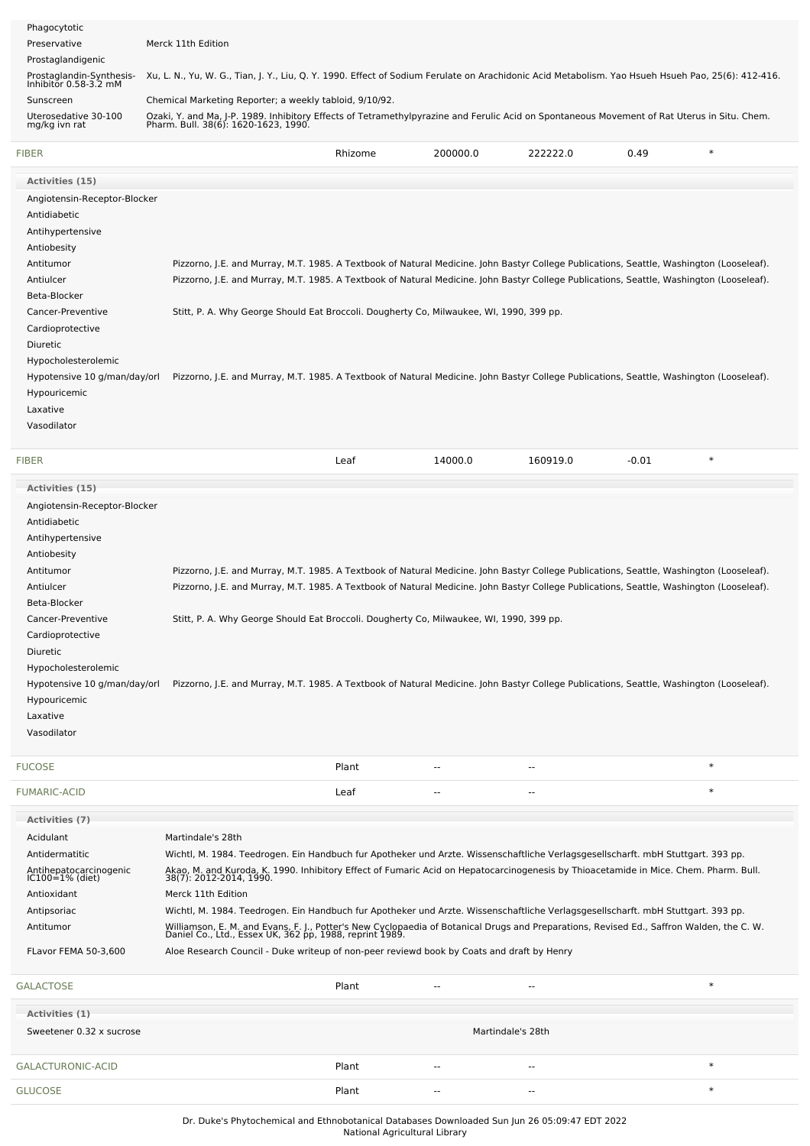| Phagocytotic                                      |                                                                                                                                                                                      |         |          |                |         |        |
|---------------------------------------------------|--------------------------------------------------------------------------------------------------------------------------------------------------------------------------------------|---------|----------|----------------|---------|--------|
| Preservative                                      | Merck 11th Edition                                                                                                                                                                   |         |          |                |         |        |
| Prostaglandigenic                                 |                                                                                                                                                                                      |         |          |                |         |        |
| Prostaglandin-Synthesis-<br>Inhibitor 0.58-3.2 mM | Xu, L. N., Yu, W. G., Tian, J. Y., Liu, Q. Y. 1990. Effect of Sodium Ferulate on Arachidonic Acid Metabolism. Yao Hsueh Hsueh Pao, 25(6): 412-416.                                   |         |          |                |         |        |
| Sunscreen                                         | Chemical Marketing Reporter; a weekly tabloid, 9/10/92.                                                                                                                              |         |          |                |         |        |
| Uterosedative 30-100                              | Ozaki, Y. and Ma, J-P. 1989. Inhibitory Effects of Tetramethylpyrazine and Ferulic Acid on Spontaneous Movement of Rat Uterus in Situ. Chem.<br>Pharm. Bull. 38(6): 1620-1623, 1990. |         |          |                |         |        |
| mg/kg ivn rat                                     |                                                                                                                                                                                      |         |          |                |         |        |
| FIBER                                             |                                                                                                                                                                                      | Rhizome | 200000.0 | 222222.0       | 0.49    | $\ast$ |
| <b>Activities (15)</b>                            |                                                                                                                                                                                      |         |          |                |         |        |
| Angiotensin-Receptor-Blocker                      |                                                                                                                                                                                      |         |          |                |         |        |
| Antidiabetic                                      |                                                                                                                                                                                      |         |          |                |         |        |
| Antihypertensive                                  |                                                                                                                                                                                      |         |          |                |         |        |
| Antiobesity                                       |                                                                                                                                                                                      |         |          |                |         |        |
| Antitumor                                         | Pizzorno, J.E. and Murray, M.T. 1985. A Textbook of Natural Medicine. John Bastyr College Publications, Seattle, Washington (Looseleaf).                                             |         |          |                |         |        |
| Antiulcer                                         | Pizzorno, J.E. and Murray, M.T. 1985. A Textbook of Natural Medicine. John Bastyr College Publications, Seattle, Washington (Looseleaf).                                             |         |          |                |         |        |
| Beta-Blocker                                      |                                                                                                                                                                                      |         |          |                |         |        |
| Cancer-Preventive                                 | Stitt, P. A. Why George Should Eat Broccoli. Dougherty Co, Milwaukee, WI, 1990, 399 pp.                                                                                              |         |          |                |         |        |
| Cardioprotective                                  |                                                                                                                                                                                      |         |          |                |         |        |
| Diuretic                                          |                                                                                                                                                                                      |         |          |                |         |        |
|                                                   |                                                                                                                                                                                      |         |          |                |         |        |
| Hypocholesterolemic                               |                                                                                                                                                                                      |         |          |                |         |        |
| Hypotensive 10 g/man/day/orl                      | Pizzorno, J.E. and Murray, M.T. 1985. A Textbook of Natural Medicine. John Bastyr College Publications, Seattle, Washington (Looseleaf).                                             |         |          |                |         |        |
| Hypouricemic                                      |                                                                                                                                                                                      |         |          |                |         |        |
| Laxative                                          |                                                                                                                                                                                      |         |          |                |         |        |
| Vasodilator                                       |                                                                                                                                                                                      |         |          |                |         |        |
|                                                   |                                                                                                                                                                                      |         |          |                |         |        |
| FIBER                                             |                                                                                                                                                                                      | Leaf    | 14000.0  |                | $-0.01$ | $\ast$ |
|                                                   |                                                                                                                                                                                      |         |          | 160919.0       |         |        |
| <b>Activities (15)</b>                            |                                                                                                                                                                                      |         |          |                |         |        |
|                                                   |                                                                                                                                                                                      |         |          |                |         |        |
| Angiotensin-Receptor-Blocker                      |                                                                                                                                                                                      |         |          |                |         |        |
| Antidiabetic                                      |                                                                                                                                                                                      |         |          |                |         |        |
| Antihypertensive                                  |                                                                                                                                                                                      |         |          |                |         |        |
| Antiobesity                                       |                                                                                                                                                                                      |         |          |                |         |        |
| Antitumor                                         | Pizzorno, J.E. and Murray, M.T. 1985. A Textbook of Natural Medicine. John Bastyr College Publications, Seattle, Washington (Looseleaf).                                             |         |          |                |         |        |
| Antiulcer                                         | Pizzorno, J.E. and Murray, M.T. 1985. A Textbook of Natural Medicine. John Bastyr College Publications, Seattle, Washington (Looseleaf).                                             |         |          |                |         |        |
| Beta-Blocker                                      |                                                                                                                                                                                      |         |          |                |         |        |
| Cancer-Preventive                                 | Stitt, P. A. Why George Should Eat Broccoli. Dougherty Co, Milwaukee, WI, 1990, 399 pp.                                                                                              |         |          |                |         |        |
| Cardioprotective                                  |                                                                                                                                                                                      |         |          |                |         |        |
| Diuretic                                          |                                                                                                                                                                                      |         |          |                |         |        |
| Hypocholesterolemic                               |                                                                                                                                                                                      |         |          |                |         |        |
| Hypotensive 10 g/man/day/orl                      | Pizzorno, J.E. and Murray, M.T. 1985. A Textbook of Natural Medicine. John Bastyr College Publications, Seattle, Washington (Looseleaf).                                             |         |          |                |         |        |
| Hypouricemic                                      |                                                                                                                                                                                      |         |          |                |         |        |
| Laxative                                          |                                                                                                                                                                                      |         |          |                |         |        |
| Vasodilator                                       |                                                                                                                                                                                      |         |          |                |         |        |
|                                                   |                                                                                                                                                                                      |         |          |                |         |        |
| <b>FUCOSE</b>                                     |                                                                                                                                                                                      | Plant   |          |                |         | $\ast$ |
| FUMARIC-ACID                                      |                                                                                                                                                                                      | Leaf    | ٠.       | $\overline{a}$ |         | $\ast$ |
|                                                   |                                                                                                                                                                                      |         |          |                |         |        |
| <b>Activities (7)</b>                             |                                                                                                                                                                                      |         |          |                |         |        |
| Acidulant                                         | Martindale's 28th                                                                                                                                                                    |         |          |                |         |        |
| Antidermatitic                                    | Wichtl, M. 1984. Teedrogen. Ein Handbuch fur Apotheker und Arzte. Wissenschaftliche Verlagsgesellscharft. mbH Stuttgart. 393 pp.                                                     |         |          |                |         |        |
| Antihepatocarcinogenic<br>IC100=1% (diet)         | Akao, M. and Kuroda, K. 1990. Inhibitory Effect of Fumaric Acid on Hepatocarcinogenesis by Thioacetamide in Mice. Chem. Pharm. Bull.<br>38(7): 2012-2014, 1990.                      |         |          |                |         |        |
| Antioxidant                                       | Merck 11th Edition                                                                                                                                                                   |         |          |                |         |        |
| Antipsoriac                                       | Wichtl, M. 1984. Teedrogen. Ein Handbuch fur Apotheker und Arzte. Wissenschaftliche Verlagsgesellscharft. mbH Stuttgart. 393 pp.                                                     |         |          |                |         |        |

FLavor FEMA 50-3,600 Aloe Research Council - Duke writeup of non-peer reviewd book by Coats and draft by Henry

| <b>GALACTOSE</b>                           | Plant | $- -$             | $- -$  | ∗      |
|--------------------------------------------|-------|-------------------|--------|--------|
| Activities (1)<br>Sweetener 0.32 x sucrose |       | Martindale's 28th |        |        |
| GALACTURONIC-ACID                          | Plant | $\sim$            | $\sim$ | ∗      |
| <b>GLUCOSE</b>                             | Plant | $- -$             | $- -$  | $\ast$ |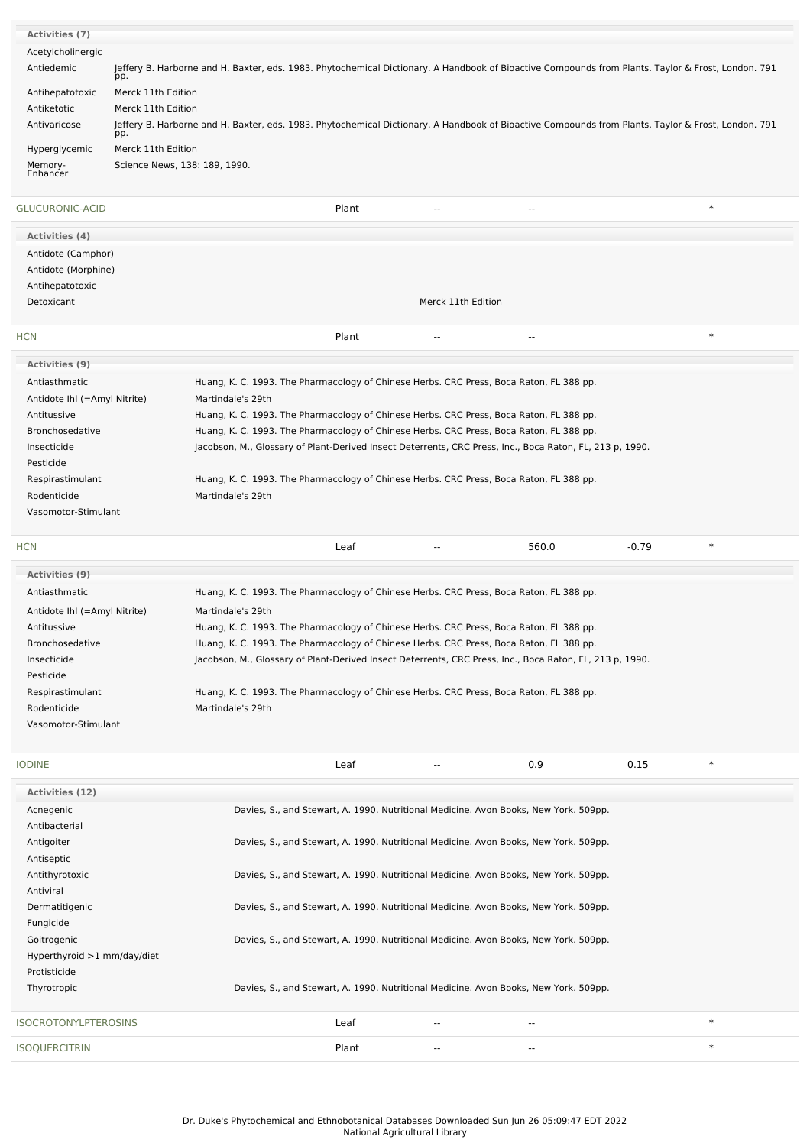| <b>Activities (7)</b>        |                                                                                                                                                           |                               |                                                                                                                                                    |                    |                          |         |        |
|------------------------------|-----------------------------------------------------------------------------------------------------------------------------------------------------------|-------------------------------|----------------------------------------------------------------------------------------------------------------------------------------------------|--------------------|--------------------------|---------|--------|
| Acetylcholinergic            |                                                                                                                                                           |                               |                                                                                                                                                    |                    |                          |         |        |
| Antiedemic                   | Jeffery B. Harborne and H. Baxter, eds. 1983. Phytochemical Dictionary. A Handbook of Bioactive Compounds from Plants. Taylor & Frost, London. 791<br>pp. |                               |                                                                                                                                                    |                    |                          |         |        |
| Antihepatotoxic              | Merck 11th Edition                                                                                                                                        |                               |                                                                                                                                                    |                    |                          |         |        |
| Antiketotic                  | Merck 11th Edition                                                                                                                                        |                               |                                                                                                                                                    |                    |                          |         |        |
| Antivaricose<br>pp.          |                                                                                                                                                           |                               | Jeffery B. Harborne and H. Baxter, eds. 1983. Phytochemical Dictionary. A Handbook of Bioactive Compounds from Plants. Taylor & Frost, London. 791 |                    |                          |         |        |
| Hyperglycemic                | Merck 11th Edition                                                                                                                                        |                               |                                                                                                                                                    |                    |                          |         |        |
|                              |                                                                                                                                                           | Science News, 138: 189, 1990. |                                                                                                                                                    |                    |                          |         |        |
| Memory-<br>Enhancer          |                                                                                                                                                           |                               |                                                                                                                                                    |                    |                          |         |        |
| GLUCURONIC-ACID              |                                                                                                                                                           |                               | Plant                                                                                                                                              |                    |                          |         | $\ast$ |
| <b>Activities (4)</b>        |                                                                                                                                                           |                               |                                                                                                                                                    |                    |                          |         |        |
| Antidote (Camphor)           |                                                                                                                                                           |                               |                                                                                                                                                    |                    |                          |         |        |
| Antidote (Morphine)          |                                                                                                                                                           |                               |                                                                                                                                                    |                    |                          |         |        |
| Antihepatotoxic              |                                                                                                                                                           |                               |                                                                                                                                                    |                    |                          |         |        |
| Detoxicant                   |                                                                                                                                                           |                               |                                                                                                                                                    | Merck 11th Edition |                          |         |        |
| <b>HCN</b>                   |                                                                                                                                                           |                               | Plant                                                                                                                                              |                    |                          |         | $\ast$ |
| Activities (9)               |                                                                                                                                                           |                               |                                                                                                                                                    |                    |                          |         |        |
| Antiasthmatic                |                                                                                                                                                           |                               | Huang, K. C. 1993. The Pharmacology of Chinese Herbs. CRC Press, Boca Raton, FL 388 pp.                                                            |                    |                          |         |        |
| Antidote Ihl (=Amyl Nitrite) |                                                                                                                                                           | Martindale's 29th             |                                                                                                                                                    |                    |                          |         |        |
| Antitussive                  |                                                                                                                                                           |                               | Huang, K. C. 1993. The Pharmacology of Chinese Herbs. CRC Press, Boca Raton, FL 388 pp.                                                            |                    |                          |         |        |
| Bronchosedative              |                                                                                                                                                           |                               | Huang, K. C. 1993. The Pharmacology of Chinese Herbs. CRC Press, Boca Raton, FL 388 pp.                                                            |                    |                          |         |        |
| Insecticide                  |                                                                                                                                                           |                               | Jacobson, M., Glossary of Plant-Derived Insect Deterrents, CRC Press, Inc., Boca Raton, FL, 213 p, 1990.                                           |                    |                          |         |        |
| Pesticide                    |                                                                                                                                                           |                               |                                                                                                                                                    |                    |                          |         |        |
| Respirastimulant             |                                                                                                                                                           |                               | Huang, K. C. 1993. The Pharmacology of Chinese Herbs. CRC Press, Boca Raton, FL 388 pp.                                                            |                    |                          |         |        |
| Rodenticide                  |                                                                                                                                                           | Martindale's 29th             |                                                                                                                                                    |                    |                          |         |        |
| Vasomotor-Stimulant          |                                                                                                                                                           |                               |                                                                                                                                                    |                    |                          |         |        |
| <b>HCN</b>                   |                                                                                                                                                           |                               | Leaf                                                                                                                                               | --                 | 560.0                    | $-0.79$ | $\ast$ |
| <b>Activities (9)</b>        |                                                                                                                                                           |                               |                                                                                                                                                    |                    |                          |         |        |
| Antiasthmatic                |                                                                                                                                                           |                               | Huang, K. C. 1993. The Pharmacology of Chinese Herbs. CRC Press, Boca Raton, FL 388 pp.                                                            |                    |                          |         |        |
| Antidote Ihl (=Amyl Nitrite) |                                                                                                                                                           | Martindale's 29th             |                                                                                                                                                    |                    |                          |         |        |
| Antitussive                  |                                                                                                                                                           |                               | Huang, K. C. 1993. The Pharmacology of Chinese Herbs. CRC Press, Boca Raton, FL 388 pp.                                                            |                    |                          |         |        |
| Bronchosedative              |                                                                                                                                                           |                               | Huang, K. C. 1993. The Pharmacology of Chinese Herbs. CRC Press, Boca Raton, FL 388 pp.                                                            |                    |                          |         |        |
| Insecticide                  |                                                                                                                                                           |                               | Jacobson, M., Glossary of Plant-Derived Insect Deterrents, CRC Press, Inc., Boca Raton, FL, 213 p, 1990.                                           |                    |                          |         |        |
| Pesticide                    |                                                                                                                                                           |                               |                                                                                                                                                    |                    |                          |         |        |
| Respirastimulant             |                                                                                                                                                           |                               | Huang, K. C. 1993. The Pharmacology of Chinese Herbs. CRC Press, Boca Raton, FL 388 pp.                                                            |                    |                          |         |        |
| Rodenticide                  |                                                                                                                                                           | Martindale's 29th             |                                                                                                                                                    |                    |                          |         |        |
| Vasomotor-Stimulant          |                                                                                                                                                           |                               |                                                                                                                                                    |                    |                          |         |        |
| <b>IODINE</b>                |                                                                                                                                                           |                               | Leaf                                                                                                                                               | ۰.                 | 0.9                      | 0.15    | $\ast$ |
| <b>Activities (12)</b>       |                                                                                                                                                           |                               |                                                                                                                                                    |                    |                          |         |        |
| Acnegenic                    |                                                                                                                                                           |                               | Davies, S., and Stewart, A. 1990. Nutritional Medicine. Avon Books, New York. 509pp.                                                               |                    |                          |         |        |
| Antibacterial                |                                                                                                                                                           |                               |                                                                                                                                                    |                    |                          |         |        |
| Antigoiter                   |                                                                                                                                                           |                               | Davies, S., and Stewart, A. 1990. Nutritional Medicine. Avon Books, New York. 509pp.                                                               |                    |                          |         |        |
| Antiseptic                   |                                                                                                                                                           |                               |                                                                                                                                                    |                    |                          |         |        |
| Antithyrotoxic               |                                                                                                                                                           |                               | Davies, S., and Stewart, A. 1990. Nutritional Medicine. Avon Books, New York. 509pp.                                                               |                    |                          |         |        |
| Antiviral                    |                                                                                                                                                           |                               |                                                                                                                                                    |                    |                          |         |        |
| Dermatitigenic               |                                                                                                                                                           |                               | Davies, S., and Stewart, A. 1990. Nutritional Medicine. Avon Books, New York. 509pp.                                                               |                    |                          |         |        |
| Fungicide                    |                                                                                                                                                           |                               |                                                                                                                                                    |                    |                          |         |        |
| Goitrogenic                  |                                                                                                                                                           |                               | Davies, S., and Stewart, A. 1990. Nutritional Medicine. Avon Books, New York. 509pp.                                                               |                    |                          |         |        |
| Hyperthyroid >1 mm/day/diet  |                                                                                                                                                           |                               |                                                                                                                                                    |                    |                          |         |        |
| Protisticide                 |                                                                                                                                                           |                               |                                                                                                                                                    |                    |                          |         |        |
| Thyrotropic                  |                                                                                                                                                           |                               | Davies, S., and Stewart, A. 1990. Nutritional Medicine. Avon Books, New York. 509pp.                                                               |                    |                          |         |        |
| <b>ISOCROTONYLPTEROSINS</b>  |                                                                                                                                                           |                               | Leaf                                                                                                                                               | --                 | --                       |         | $\ast$ |
| <b>ISOQUERCITRIN</b>         |                                                                                                                                                           |                               | Plant                                                                                                                                              | --                 | $\overline{\phantom{a}}$ |         | $\ast$ |
|                              |                                                                                                                                                           |                               |                                                                                                                                                    |                    |                          |         |        |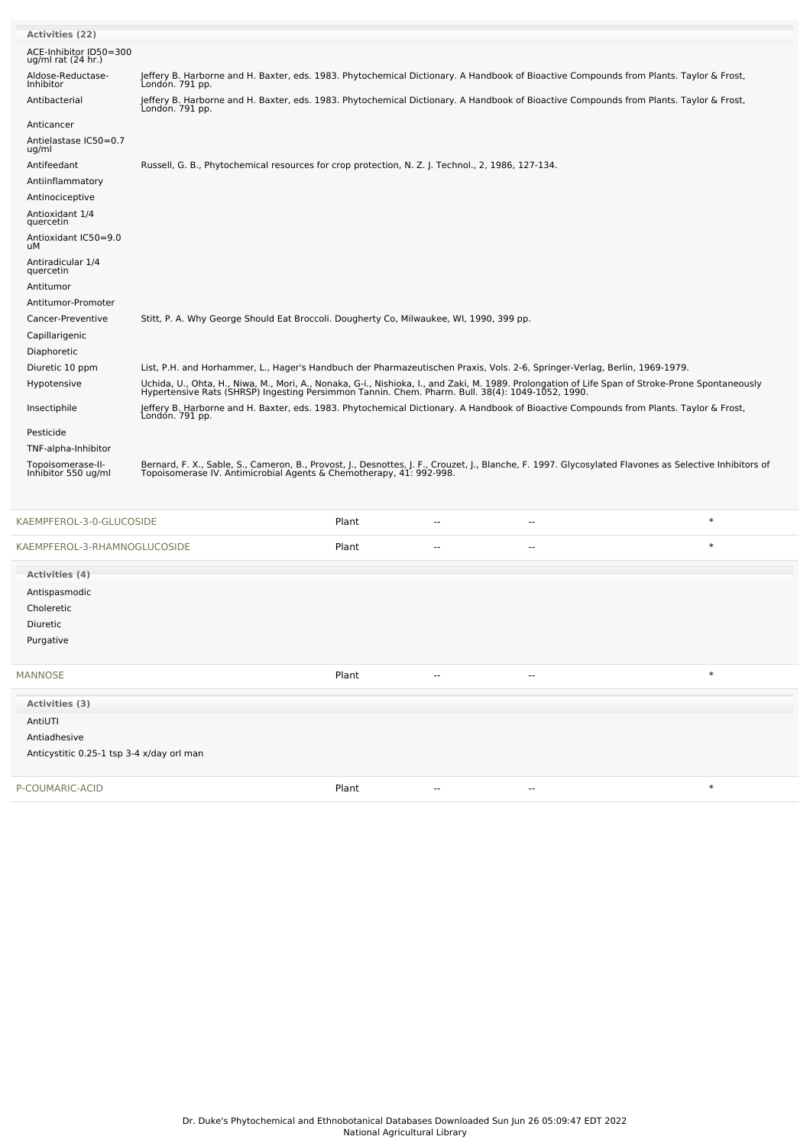| <b>Activities (22)</b>                         |                                                                                                                                                                                                                                   |
|------------------------------------------------|-----------------------------------------------------------------------------------------------------------------------------------------------------------------------------------------------------------------------------------|
| ACE-Inhibitor ID50=300<br>ug/ml rat $(24$ hr.) |                                                                                                                                                                                                                                   |
| Aldose-Reductase-<br>Inhibitor                 | Jeffery B. Harborne and H. Baxter, eds. 1983. Phytochemical Dictionary. A Handbook of Bioactive Compounds from Plants. Taylor & Frost,<br>Londón. 791 pp.                                                                         |
| Antibacterial                                  | Jeffery B. Harborne and H. Baxter, eds. 1983. Phytochemical Dictionary. A Handbook of Bioactive Compounds from Plants. Taylor & Frost,<br>London. 791 pp.                                                                         |
| Anticancer                                     |                                                                                                                                                                                                                                   |
| Antielastase IC50=0.7<br>ug/ml                 |                                                                                                                                                                                                                                   |
| Antifeedant                                    | Russell, G. B., Phytochemical resources for crop protection, N. Z. J. Technol., 2, 1986, 127-134.                                                                                                                                 |
| Antiinflammatory                               |                                                                                                                                                                                                                                   |
| Antinociceptive                                |                                                                                                                                                                                                                                   |
| Antioxidant 1/4<br>quercetin                   |                                                                                                                                                                                                                                   |
| Antioxidant IC50=9.0<br>uМ                     |                                                                                                                                                                                                                                   |
| Antiradicular 1/4<br>quercetin                 |                                                                                                                                                                                                                                   |
| Antitumor                                      |                                                                                                                                                                                                                                   |
| Antitumor-Promoter                             |                                                                                                                                                                                                                                   |
| Cancer-Preventive                              | Stitt, P. A. Why George Should Eat Broccoli. Dougherty Co, Milwaukee, WI, 1990, 399 pp.                                                                                                                                           |
| Capillarigenic                                 |                                                                                                                                                                                                                                   |
| Diaphoretic                                    |                                                                                                                                                                                                                                   |
| Diuretic 10 ppm                                | List, P.H. and Horhammer, L., Hager's Handbuch der Pharmazeutischen Praxis, Vols. 2-6, Springer-Verlag, Berlin, 1969-1979.                                                                                                        |
| Hypotensive                                    | Uchida, U., Ohta, H., Niwa, M., Mori, A., Nonaka, G-i., Nishioka, I., and Zaki, M. 1989. Prolongation of Life Span of Stroke-Prone Spontaneously<br>Hypertensive Rats (SHRSP) Ingesting Persimmon Tannin. Chem. Pharm. Bull. 38(4 |
| Insectiphile                                   | Jeffery B. Harborne and H. Baxter, eds. 1983. Phytochemical Dictionary. A Handbook of Bioactive Compounds from Plants. Taylor & Frost,<br>London. 791 pp.                                                                         |
| Pesticide                                      |                                                                                                                                                                                                                                   |
| TNF-alpha-Inhibitor                            |                                                                                                                                                                                                                                   |
| Topoisomerase-II-<br>Inhibitor 550 ug/ml       | Bernard, F. X., Sable, S., Cameron, B., Provost, J., Desnottes, J. F., Crouzet, J., Blanche, F. 1997. Glycosylated Flavones as Selective Inhibitors of<br>Topoisomerase IV. Antimicrobial Agents & Chemotherapy, 41: 992-998.     |
|                                                |                                                                                                                                                                                                                                   |

| KAEMPFEROL-3-0-GLUCOSIDE                  | Plant | $\sim$ | $\sim$        | $\ast$ |
|-------------------------------------------|-------|--------|---------------|--------|
| KAEMPFEROL-3-RHAMNOGLUCOSIDE              | Plant | $\sim$ | $\sim$        | $\ast$ |
| Activities (4)                            |       |        |               |        |
| Antispasmodic                             |       |        |               |        |
| Choleretic                                |       |        |               |        |
| Diuretic                                  |       |        |               |        |
| Purgative                                 |       |        |               |        |
|                                           |       |        |               |        |
| <b>MANNOSE</b>                            | Plant | $\sim$ | $\sim$ $\sim$ | $\ast$ |
| Activities (3)                            |       |        |               |        |
| AntiUTI                                   |       |        |               |        |
| Antiadhesive                              |       |        |               |        |
| Anticystitic 0.25-1 tsp 3-4 x/day orl man |       |        |               |        |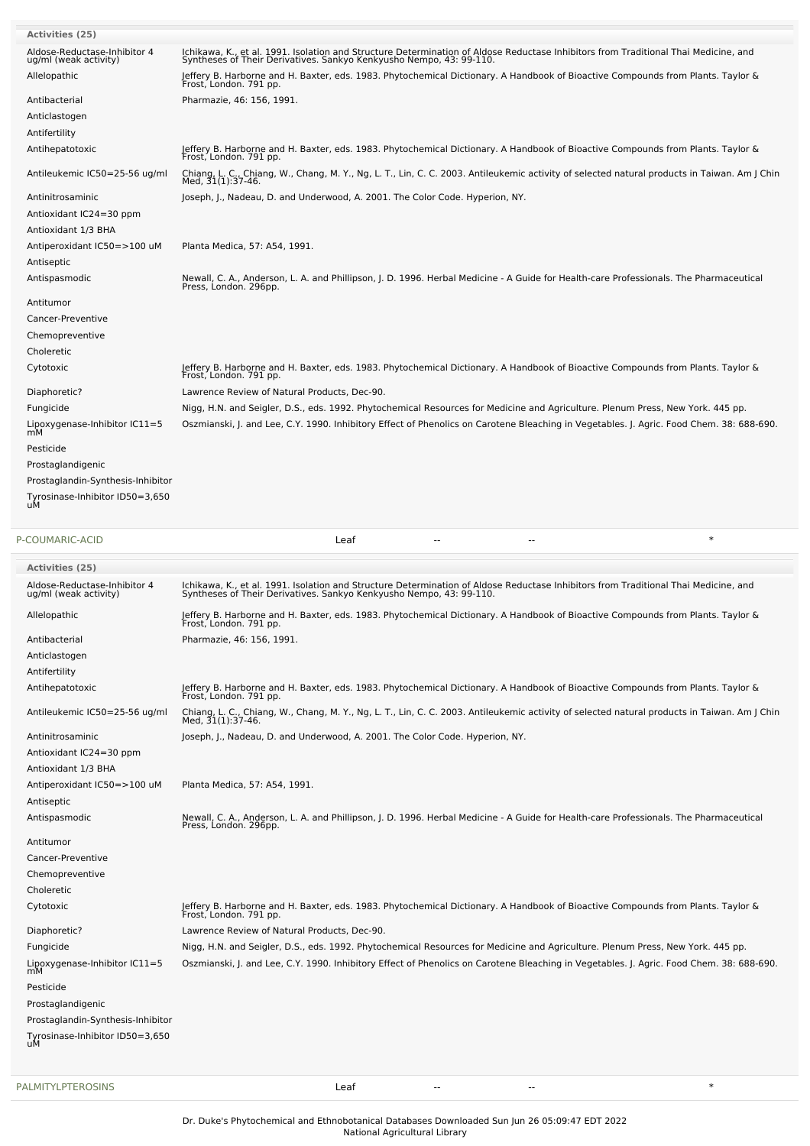| Activities (25)                                       |                                                                                                                                                                                                                                                                                                                                               |
|-------------------------------------------------------|-----------------------------------------------------------------------------------------------------------------------------------------------------------------------------------------------------------------------------------------------------------------------------------------------------------------------------------------------|
| Aldose-Reductase-Inhibitor 4<br>ug/ml (weak activity) | Ichikawa, K., et al. 1991. Isolation and Structure Determination of Aldose Reductase Inhibitors from Traditional Thai Medicine, and<br>Syntheses of Their Derivatives. Sankyo Kenkyusho Nempo, 43: 99-110.                                                                                                                                    |
| Allelopathic                                          | Jeffery B. Harborne and H. Baxter, eds. 1983. Phytochemical Dictionary. A Handbook of Bioactive Compounds from Plants. Taylor &<br>Frost, London. 791 pp.                                                                                                                                                                                     |
| Antibacterial                                         | Pharmazie, 46: 156, 1991.                                                                                                                                                                                                                                                                                                                     |
| Anticlastogen                                         |                                                                                                                                                                                                                                                                                                                                               |
| Antifertility                                         |                                                                                                                                                                                                                                                                                                                                               |
| Antihepatotoxic                                       | Jeffery B. Harborne and H. Baxter, eds. 1983. Phytochemical Dictionary. A Handbook of Bioactive Compounds from Plants. Taylor &                                                                                                                                                                                                               |
| Antileukemic IC50=25-56 ug/ml                         | Frost, London. 791 pp.<br>Chiang, L. C., Chiang, W., Chang, M. Y., Ng, L. T., Lin, C. C. 2003. Antileukemic activity of selected natural products in Taiwan. Am J Chin                                                                                                                                                                        |
| Antinitrosaminic                                      | Med, 31(1):37-46.<br>Joseph, J., Nadeau, D. and Underwood, A. 2001. The Color Code. Hyperion, NY.                                                                                                                                                                                                                                             |
| Antioxidant IC24=30 ppm                               |                                                                                                                                                                                                                                                                                                                                               |
| Antioxidant 1/3 BHA                                   |                                                                                                                                                                                                                                                                                                                                               |
| Antiperoxidant IC50=>100 uM                           | Planta Medica, 57: A54, 1991.                                                                                                                                                                                                                                                                                                                 |
| Antiseptic                                            |                                                                                                                                                                                                                                                                                                                                               |
| Antispasmodic                                         | Newall, C. A., Anderson, L. A. and Phillipson, J. D. 1996. Herbal Medicine - A Guide for Health-care Professionals. The Pharmaceutical<br>Press, London. 296pp.                                                                                                                                                                               |
| Antitumor                                             |                                                                                                                                                                                                                                                                                                                                               |
| Cancer-Preventive                                     |                                                                                                                                                                                                                                                                                                                                               |
| Chemopreventive                                       |                                                                                                                                                                                                                                                                                                                                               |
| Choleretic                                            |                                                                                                                                                                                                                                                                                                                                               |
| Cytotoxic                                             | Jeffery B. Harborne and H. Baxter, eds. 1983. Phytochemical Dictionary. A Handbook of Bioactive Compounds from Plants. Taylor &                                                                                                                                                                                                               |
|                                                       | Frost, London. 791 pp.                                                                                                                                                                                                                                                                                                                        |
| Diaphoretic?<br>Fungicide                             | Lawrence Review of Natural Products, Dec-90.<br>Nigg, H.N. and Seigler, D.S., eds. 1992. Phytochemical Resources for Medicine and Agriculture. Plenum Press, New York. 445 pp.                                                                                                                                                                |
| Lipoxygenase-Inhibitor IC11=5                         | Oszmianski, J. and Lee, C.Y. 1990. Inhibitory Effect of Phenolics on Carotene Bleaching in Vegetables. J. Agric. Food Chem. 38: 688-690.                                                                                                                                                                                                      |
| mM                                                    |                                                                                                                                                                                                                                                                                                                                               |
| Pesticide                                             |                                                                                                                                                                                                                                                                                                                                               |
| Prostaglandigenic                                     |                                                                                                                                                                                                                                                                                                                                               |
| Prostaglandin-Synthesis-Inhibitor                     |                                                                                                                                                                                                                                                                                                                                               |
| Tyrosinase-Inhibitor ID50=3,650<br>uМ                 |                                                                                                                                                                                                                                                                                                                                               |
|                                                       |                                                                                                                                                                                                                                                                                                                                               |
| P-COUMARIC-ACID                                       | $\ast$<br>Leaf                                                                                                                                                                                                                                                                                                                                |
| <b>Activities (25)</b>                                |                                                                                                                                                                                                                                                                                                                                               |
| Aldose-Reductase-Inhibitor 4<br>ug/ml (weak activity) |                                                                                                                                                                                                                                                                                                                                               |
| Allelopathic                                          | Ichikawa, K., et al. 1991. Isolation and Structure Determination of Aldose Reductase Inhibitors from Traditional Thai Medicine, and<br>Syntheses of Their Derivatives. Sankyo Kenkyusho Nempo, 43: 99-110.<br>Jeffery B. Harborne and H. Baxter, eds. 1983. Phytochemical Dictionary. A Handbook of Bioactive Compounds from Plants. Taylor & |
|                                                       | Frost, London. 791 pp.                                                                                                                                                                                                                                                                                                                        |
| Antibacterial                                         | Pharmazie, 46: 156, 1991.                                                                                                                                                                                                                                                                                                                     |
| Anticlastogen                                         |                                                                                                                                                                                                                                                                                                                                               |
| Antifertility                                         |                                                                                                                                                                                                                                                                                                                                               |
| Antihepatotoxic<br>Antileukemic IC50=25-56 ug/ml      | Jeffery B. Harborne and H. Baxter, eds. 1983. Phytochemical Dictionary. A Handbook of Bioactive Compounds from Plants. Taylor &<br>Frost, London. 791 pp.                                                                                                                                                                                     |
|                                                       | Med, 31(1):37-46.                                                                                                                                                                                                                                                                                                                             |
| Antinitrosaminic                                      | Joseph, J., Nadeau, D. and Underwood, A. 2001. The Color Code. Hyperion, NY.                                                                                                                                                                                                                                                                  |
| Antioxidant IC24=30 ppm                               |                                                                                                                                                                                                                                                                                                                                               |
| Antioxidant 1/3 BHA                                   |                                                                                                                                                                                                                                                                                                                                               |
| Antiperoxidant IC50=>100 uM<br>Antiseptic             | Planta Medica, 57: A54, 1991.                                                                                                                                                                                                                                                                                                                 |
| Antispasmodic                                         |                                                                                                                                                                                                                                                                                                                                               |
|                                                       | Newall, C. A., Anderson, L. A. and Phillipson, J. D. 1996. Herbal Medicine - A Guide for Health-care Professionals. The Pharmaceutical<br>Press, London. 296pp.                                                                                                                                                                               |
| Antitumor                                             |                                                                                                                                                                                                                                                                                                                                               |
| Cancer-Preventive                                     |                                                                                                                                                                                                                                                                                                                                               |
| Chemopreventive                                       |                                                                                                                                                                                                                                                                                                                                               |
| Choleretic                                            | Chiang, L. C., Chiang, W., Chang, M. Y., Ng, L. T., Lin, C. C. 2003. Antileukemic activity of selected natural products in Taiwan. Am J Chin                                                                                                                                                                                                  |
| Cytotoxic                                             | Jeffery B. Harborne and H. Baxter, eds. 1983. Phytochemical Dictionary. A Handbook of Bioactive Compounds from Plants. Taylor &<br>Frost, London. 791 pp.                                                                                                                                                                                     |
| Diaphoretic?                                          | Lawrence Review of Natural Products, Dec-90.                                                                                                                                                                                                                                                                                                  |
| Fungicide                                             | Nigg, H.N. and Seigler, D.S., eds. 1992. Phytochemical Resources for Medicine and Agriculture. Plenum Press, New York. 445 pp.                                                                                                                                                                                                                |
| Lipoxygenase-Inhibitor IC11=5<br>mM                   |                                                                                                                                                                                                                                                                                                                                               |
| Pesticide                                             |                                                                                                                                                                                                                                                                                                                                               |
| Prostaglandigenic                                     | Oszmianski, J. and Lee, C.Y. 1990. Inhibitory Effect of Phenolics on Carotene Bleaching in Vegetables. J. Agric. Food Chem. 38: 688-690.                                                                                                                                                                                                      |
| Prostaglandin-Synthesis-Inhibitor                     |                                                                                                                                                                                                                                                                                                                                               |
| Tyrosinase-Inhibitor ID50=3,650<br>uM                 |                                                                                                                                                                                                                                                                                                                                               |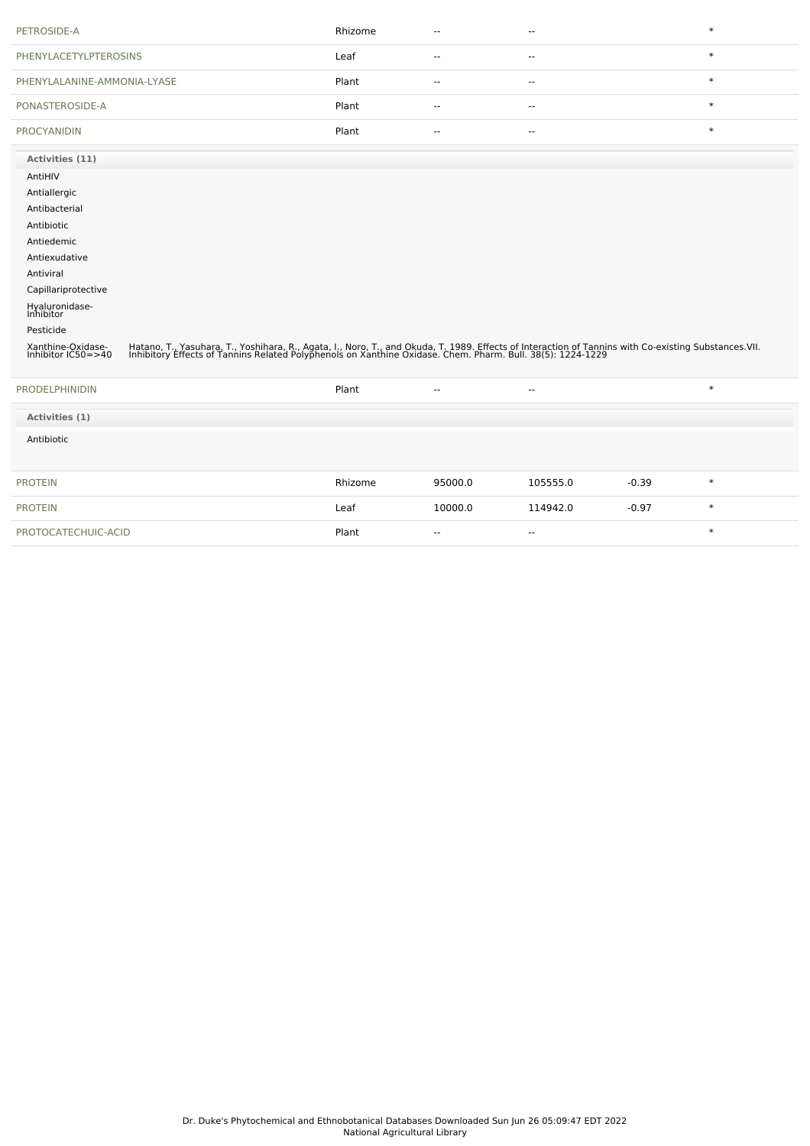| PETROSIDE-A                             |                                                                                                                                                                                                                                   | Rhizome | $\overline{\phantom{a}}$ | $\overline{\phantom{a}}$ |         | $\ast$ |
|-----------------------------------------|-----------------------------------------------------------------------------------------------------------------------------------------------------------------------------------------------------------------------------------|---------|--------------------------|--------------------------|---------|--------|
| <b>PHENYLACETYLPTEROSINS</b>            |                                                                                                                                                                                                                                   | Leaf    | $\overline{\phantom{a}}$ | $\mathbf{u}$             |         | $\ast$ |
| PHENYLALANINE-AMMONIA-LYASE             |                                                                                                                                                                                                                                   | Plant   | $\overline{\phantom{a}}$ | $\sim$ $\sim$            |         | $\ast$ |
| PONASTEROSIDE-A                         |                                                                                                                                                                                                                                   | Plant   | $\sim$ $\sim$            | $\sim$ $\sim$            |         | $\ast$ |
| <b>PROCYANIDIN</b>                      |                                                                                                                                                                                                                                   | Plant   | $\sim$                   | $\overline{\phantom{a}}$ |         | $\ast$ |
| Activities (11)                         |                                                                                                                                                                                                                                   |         |                          |                          |         |        |
| AntiHIV                                 |                                                                                                                                                                                                                                   |         |                          |                          |         |        |
| Antiallergic                            |                                                                                                                                                                                                                                   |         |                          |                          |         |        |
| Antibacterial                           |                                                                                                                                                                                                                                   |         |                          |                          |         |        |
| Antibiotic                              |                                                                                                                                                                                                                                   |         |                          |                          |         |        |
| Antiedemic                              |                                                                                                                                                                                                                                   |         |                          |                          |         |        |
| Antiexudative                           |                                                                                                                                                                                                                                   |         |                          |                          |         |        |
| Antiviral                               |                                                                                                                                                                                                                                   |         |                          |                          |         |        |
|                                         |                                                                                                                                                                                                                                   |         |                          |                          |         |        |
| Capillariprotective                     |                                                                                                                                                                                                                                   |         |                          |                          |         |        |
| Hyaluronidase-<br>Inhibitor             |                                                                                                                                                                                                                                   |         |                          |                          |         |        |
| Pesticide                               |                                                                                                                                                                                                                                   |         |                          |                          |         |        |
| Xanthine-Oxidase-<br>Inhibitor IC50=>40 | Hatano, T., Yasuhara, T., Yoshihara, R., Agata, I., Noro, T., and Okuda, T. 1989. Effects of Interaction of Tannins with Co-existing Substances.VII.<br>Inhibitory Effects of Tannins Related Polyphenols on Xanthine Oxidase. Ch |         |                          |                          |         |        |
| <b>PRODELPHINIDIN</b>                   |                                                                                                                                                                                                                                   | Plant   | $\overline{a}$           | $\sim$ $\sim$            |         | $\ast$ |
| Activities (1)                          |                                                                                                                                                                                                                                   |         |                          |                          |         |        |
| Antibiotic                              |                                                                                                                                                                                                                                   |         |                          |                          |         |        |
| <b>PROTEIN</b>                          |                                                                                                                                                                                                                                   | Rhizome | 95000.0                  | 105555.0                 | $-0.39$ | $\ast$ |
| <b>PROTEIN</b>                          |                                                                                                                                                                                                                                   | Leaf    | 10000.0                  | 114942.0                 | $-0.97$ | $\ast$ |
| PROTOCATECHUIC-ACID                     |                                                                                                                                                                                                                                   | Plant   | $\overline{\phantom{a}}$ | $\overline{\phantom{a}}$ |         | $\ast$ |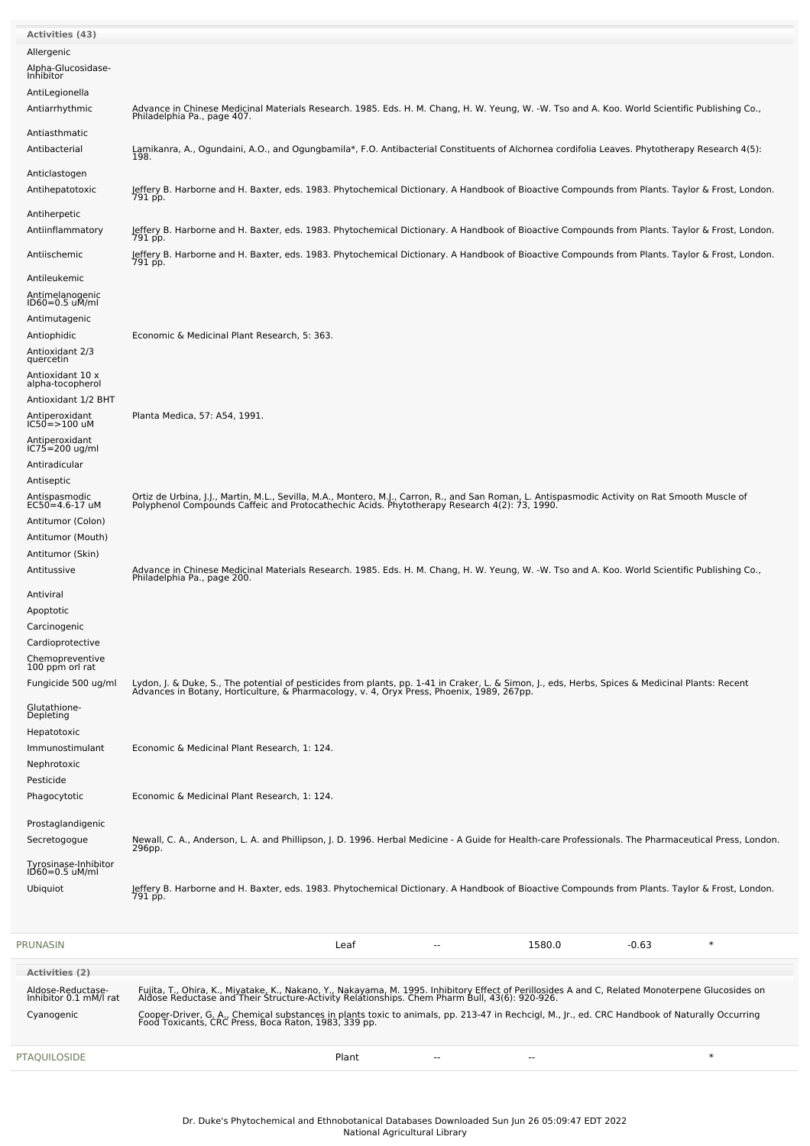| <b>Activities (43)</b>            |                                                                                                                                                                                                                                   |
|-----------------------------------|-----------------------------------------------------------------------------------------------------------------------------------------------------------------------------------------------------------------------------------|
| Allergenic                        |                                                                                                                                                                                                                                   |
|                                   |                                                                                                                                                                                                                                   |
| Alpha-Glucosidase-<br>Inhibitor   |                                                                                                                                                                                                                                   |
| AntiLegionella                    |                                                                                                                                                                                                                                   |
| Antiarrhythmic                    | Advance in Chinese Medicinal Materials Research. 1985. Eds. H. M. Chang, H. W. Yeung, W. -W. Tso and A. Koo. World Scientific Publishing Co.,                                                                                     |
|                                   | Philadelphia Pa., page 407.                                                                                                                                                                                                       |
| Antiasthmatic                     |                                                                                                                                                                                                                                   |
| Antibacterial                     | Lamikanra, A., Ogundaini, A.O., and Ogungbamila*, F.O. Antibacterial Constituents of Alchornea cordifolia Leaves. Phytotherapy Research 4(5):<br>198.                                                                             |
| Anticlastogen                     |                                                                                                                                                                                                                                   |
| Antihepatotoxic                   | Jeffery B. Harborne and H. Baxter, eds. 1983. Phytochemical Dictionary. A Handbook of Bioactive Compounds from Plants. Taylor & Frost, London.                                                                                    |
|                                   | 791 pp.                                                                                                                                                                                                                           |
| Antiherpetic                      |                                                                                                                                                                                                                                   |
| Antiinflammatory                  | Jeffery B. Harborne and H. Baxter, eds. 1983. Phytochemical Dictionary. A Handbook of Bioactive Compounds from Plants. Taylor & Frost, London.<br>791 pp.                                                                         |
| Antiischemic                      | Jeffery B. Harborne and H. Baxter, eds. 1983. Phytochemical Dictionary. A Handbook of Bioactive Compounds from Plants. Taylor & Frost, London.                                                                                    |
|                                   | 791 pp.                                                                                                                                                                                                                           |
| Antileukemic                      |                                                                                                                                                                                                                                   |
| Antimelanogenic<br>ID60=0.5 uM/ml |                                                                                                                                                                                                                                   |
| Antimutagenic                     |                                                                                                                                                                                                                                   |
| Antiophidic                       | Economic & Medicinal Plant Research, 5: 363.                                                                                                                                                                                      |
|                                   |                                                                                                                                                                                                                                   |
| Antioxidant 2/3<br>quercetin      |                                                                                                                                                                                                                                   |
| Antioxidant 10 x                  |                                                                                                                                                                                                                                   |
| alpha-tocopherol                  |                                                                                                                                                                                                                                   |
| Antioxidant 1/2 BHT               |                                                                                                                                                                                                                                   |
| Antiperoxidant<br>IC50=>100 uM    | Planta Medica, 57: A54, 1991.                                                                                                                                                                                                     |
| Antiperoxidant<br>IC75=200 ug/ml  |                                                                                                                                                                                                                                   |
|                                   |                                                                                                                                                                                                                                   |
| Antiradicular                     |                                                                                                                                                                                                                                   |
| Antiseptic                        |                                                                                                                                                                                                                                   |
| Antispasmodic<br>EC50=4.6-17 uM   | Ortiz de Urbina, J.J., Martin, M.L., Sevilla, M.A., Montero, M.J., Carron, R., and San Roman, L. Antispasmodic Activity on Rat Smooth Muscle of<br>Polyphenol Compounds Caffeic and Protocathechic Acids. Phytotherapy Research 4 |
| Antitumor (Colon)                 |                                                                                                                                                                                                                                   |
| Antitumor (Mouth)                 |                                                                                                                                                                                                                                   |
| Antitumor (Skin)                  |                                                                                                                                                                                                                                   |
| Antitussive                       | Advance in Chinese Medicinal Materials Research. 1985. Eds. H. M. Chang, H. W. Yeung, W. -W. Tso and A. Koo. World Scientific Publishing Co.,                                                                                     |
|                                   | Philadelphia Pa., page 200.                                                                                                                                                                                                       |
| Antiviral                         |                                                                                                                                                                                                                                   |
| Apoptotic                         |                                                                                                                                                                                                                                   |
| Carcinogenic                      |                                                                                                                                                                                                                                   |
| Cardioprotective                  |                                                                                                                                                                                                                                   |
| Chemopreventive                   |                                                                                                                                                                                                                                   |
| 100 ppm orl rat                   |                                                                                                                                                                                                                                   |
| Fungicide 500 ug/ml               | Lydon, J. & Duke, S., The potential of pesticides from plants, pp. 1-41 in Craker, L. & Simon, J., eds, Herbs, Spices & Medicinal Plants: Recent<br>Advances in Botany, Horticulture, & Pharmacology, v. 4, Oryx Press, Phoenix,  |
| Glutathione-                      |                                                                                                                                                                                                                                   |
| Depleting                         |                                                                                                                                                                                                                                   |
| Hepatotoxic                       |                                                                                                                                                                                                                                   |
| Immunostimulant                   | Economic & Medicinal Plant Research, 1: 124.                                                                                                                                                                                      |
| Nephrotoxic                       |                                                                                                                                                                                                                                   |
| Pesticide                         |                                                                                                                                                                                                                                   |
| Phagocytotic                      | Economic & Medicinal Plant Research, 1: 124.                                                                                                                                                                                      |
|                                   |                                                                                                                                                                                                                                   |
| Prostaglandigenic                 |                                                                                                                                                                                                                                   |
| Secretogogue                      | Newall, C. A., Anderson, L. A. and Phillipson, J. D. 1996. Herbal Medicine - A Guide for Health-care Professionals. The Pharmaceutical Press, London.<br>296pp.                                                                   |
| Tyrosinase-Inhibitor              |                                                                                                                                                                                                                                   |
| $1D60=0.5$ uM/ml                  |                                                                                                                                                                                                                                   |
| Ubiquiot                          | Jeffery B. Harborne and H. Baxter, eds. 1983. Phytochemical Dictionary. A Handbook of Bioactive Compounds from Plants. Taylor & Frost, London.<br>791 pp.                                                                         |
|                                   |                                                                                                                                                                                                                                   |
|                                   |                                                                                                                                                                                                                                   |
| PRUNASIN                          | $\ast$<br>Leaf<br>1580.0<br>$-0.63$                                                                                                                                                                                               |
|                                   |                                                                                                                                                                                                                                   |
| <b>Activities (2)</b>             |                                                                                                                                                                                                                                   |
| Aldose-Reductase-                 | Fujita, T., Ohira, K., Miyatake, K., Nakano, Y., Nakayama, M. 1995. Inhibitory Effect of Perillosides A and C, Related Monoterpene Glucosides on<br>Aldose Reductase and Their Structure-Activity Relationships. Chem Pharm Bull, |
| Inhibitor 0.1 mM/l rat            |                                                                                                                                                                                                                                   |
| Cyanogenic                        | Cooper-Driver, G. A., Chemical substances in plants toxic to animals, pp. 213-47 in Rechcigl, M., Jr., ed. CRC Handbook of Naturally Occurring<br>Food Toxicants, CRC Press, Boca Raton, 1983, 339 pp.                            |
|                                   |                                                                                                                                                                                                                                   |
| <b>PTAQUILOSIDE</b>               | $\ast$<br>Plant<br>$\overline{\phantom{a}}$                                                                                                                                                                                       |
|                                   |                                                                                                                                                                                                                                   |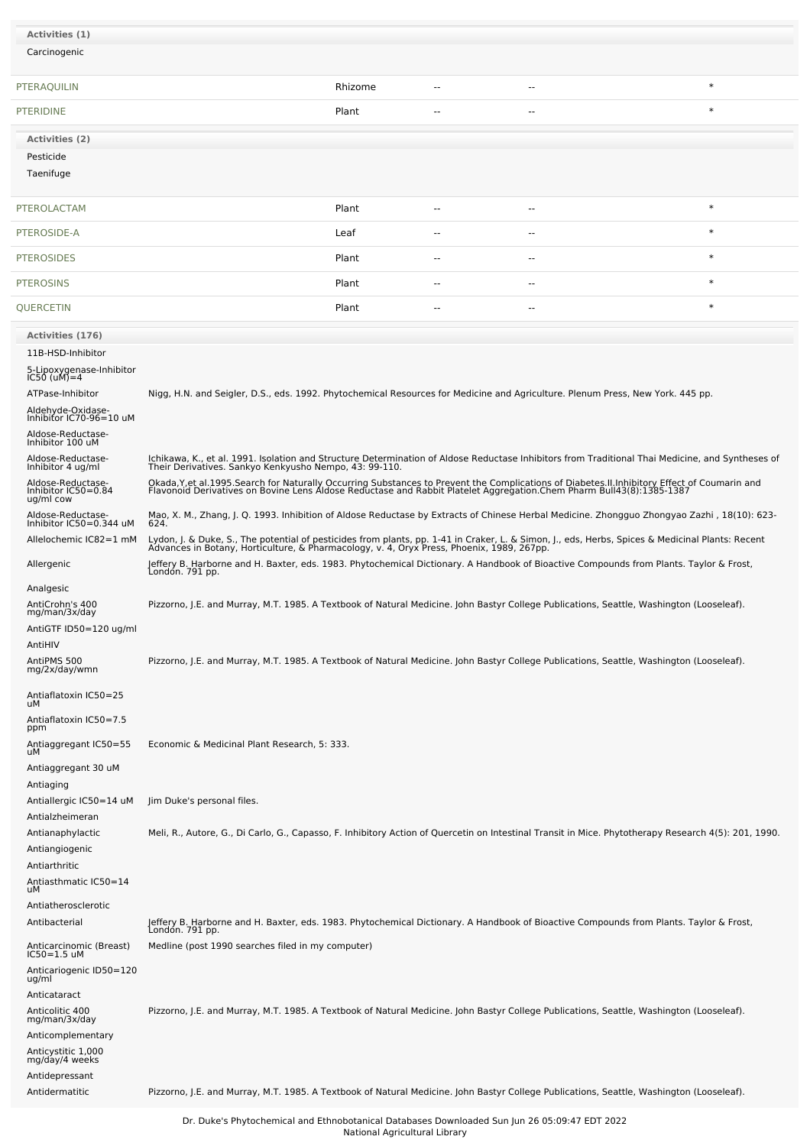| Activities (1)                                        |                                                                                                                                                                                                                                               |         |        |        |                                                                                                                                                      |
|-------------------------------------------------------|-----------------------------------------------------------------------------------------------------------------------------------------------------------------------------------------------------------------------------------------------|---------|--------|--------|------------------------------------------------------------------------------------------------------------------------------------------------------|
| Carcinogenic                                          |                                                                                                                                                                                                                                               |         |        |        |                                                                                                                                                      |
|                                                       |                                                                                                                                                                                                                                               |         |        |        |                                                                                                                                                      |
| PTERAQUILIN                                           |                                                                                                                                                                                                                                               | Rhizome |        | н.     | $\ast$                                                                                                                                               |
| <b>PTERIDINE</b>                                      |                                                                                                                                                                                                                                               | Plant   |        |        | $\ast$                                                                                                                                               |
| Activities (2)                                        |                                                                                                                                                                                                                                               |         |        |        |                                                                                                                                                      |
| Pesticide                                             |                                                                                                                                                                                                                                               |         |        |        |                                                                                                                                                      |
| Taenifuge                                             |                                                                                                                                                                                                                                               |         |        |        |                                                                                                                                                      |
| PTEROLACTAM                                           |                                                                                                                                                                                                                                               | Plant   | $\sim$ | $\sim$ | $\ast$                                                                                                                                               |
| PTEROSIDE-A                                           |                                                                                                                                                                                                                                               | Leaf    | $-$    | $ -$   | $\ast$                                                                                                                                               |
| <b>PTEROSIDES</b>                                     |                                                                                                                                                                                                                                               | Plant   | --     | --     | $\ast$                                                                                                                                               |
| <b>PTEROSINS</b>                                      |                                                                                                                                                                                                                                               | Plant   |        | н.     | $\ast$                                                                                                                                               |
| QUERCETIN                                             |                                                                                                                                                                                                                                               | Plant   |        |        | $\ast$                                                                                                                                               |
| Activities (176)                                      |                                                                                                                                                                                                                                               |         |        |        |                                                                                                                                                      |
| 11B-HSD-Inhibitor                                     |                                                                                                                                                                                                                                               |         |        |        |                                                                                                                                                      |
| 5-Lipoxygenase-Inhibitor<br>$IC50 (uM)=4$             |                                                                                                                                                                                                                                               |         |        |        |                                                                                                                                                      |
| ATPase-Inhibitor                                      | Nigg, H.N. and Seigler, D.S., eds. 1992. Phytochemical Resources for Medicine and Agriculture. Plenum Press, New York. 445 pp.                                                                                                                |         |        |        |                                                                                                                                                      |
| Aldehyde-Oxidase-<br>Inhibitor IC70-96=10 uM          |                                                                                                                                                                                                                                               |         |        |        |                                                                                                                                                      |
| Aldose-Reductase-                                     |                                                                                                                                                                                                                                               |         |        |        |                                                                                                                                                      |
| Inhibitor 100 uM<br>Aldose-Reductase-                 |                                                                                                                                                                                                                                               |         |        |        | Ichikawa, K., et al. 1991. Isolation and Structure Determination of Aldose Reductase Inhibitors from Traditional Thai Medicine, and Syntheses of     |
| Inhibitor 4 ug/ml                                     | Their Derivatives. Sankyo Kenkyusho Nempo, 43: 99-110.                                                                                                                                                                                        |         |        |        |                                                                                                                                                      |
| Aldose-Reductase-<br>Inhibitor IC50=0.84<br>ug/ml cow | Okada, Y, et al. 1995. Search for Naturally Occurring Substances to Prevent the Complications of Diabetes. II. Inhibitory Effect of Coumarin and<br>Flavonoid Derivatives on Bovine Lens Aldose Reductase and Rabbit Platelet Agg             |         |        |        |                                                                                                                                                      |
| Aldose-Reductase-<br>Inhibitor IC50=0.344 uM          | 624.                                                                                                                                                                                                                                          |         |        |        | Mao, X. M., Zhang, J. Q. 1993. Inhibition of Aldose Reductase by Extracts of Chinese Herbal Medicine. Zhongguo Zhongyao Zazhi, 18(10): 623-          |
| Allelochemic IC82=1 mM                                | Lydon, J. & Duke, S., The potential of pesticides from plants, pp. 1-41 in Craker, L. & Simon, J., eds, Herbs, Spices & Medicinal Plants: Recent<br>Advances in Botany, Horticulture, & Pharmacology, v. 4, Oryx Press, Phoenix, 1989, 267pp. |         |        |        |                                                                                                                                                      |
| Allergenic                                            | Jeffery B. Harborne and H. Baxter, eds. 1983. Phytochemical Dictionary. A Handbook of Bioactive Compounds from Plants. Taylor & Frost,<br>Londón. 791 pp.                                                                                     |         |        |        |                                                                                                                                                      |
| Analgesic                                             |                                                                                                                                                                                                                                               |         |        |        |                                                                                                                                                      |
| AntiCrohn's 400<br>mg/man/3x/day                      | Pizzorno, J.E. and Murray, M.T. 1985. A Textbook of Natural Medicine. John Bastyr College Publications, Seattle, Washington (Looseleaf).                                                                                                      |         |        |        |                                                                                                                                                      |
| AntiGTF ID50=120 ug/ml                                |                                                                                                                                                                                                                                               |         |        |        |                                                                                                                                                      |
| AntiHIV<br>AntiPMS 500                                | Pizzorno, J.E. and Murray, M.T. 1985. A Textbook of Natural Medicine. John Bastyr College Publications, Seattle, Washington (Looseleaf).                                                                                                      |         |        |        |                                                                                                                                                      |
| mg/2x/day/wmn                                         |                                                                                                                                                                                                                                               |         |        |        |                                                                                                                                                      |
| Antiaflatoxin IC50=25<br>uМ<br>Antiaflatoxin IC50=7.5 |                                                                                                                                                                                                                                               |         |        |        |                                                                                                                                                      |
| ppm                                                   |                                                                                                                                                                                                                                               |         |        |        |                                                                                                                                                      |
| Antiaggregant IC50=55<br>uМ                           | Economic & Medicinal Plant Research, 5: 333.                                                                                                                                                                                                  |         |        |        |                                                                                                                                                      |
| Antiaggregant 30 uM<br>Antiaging                      |                                                                                                                                                                                                                                               |         |        |        |                                                                                                                                                      |
| Antiallergic IC50=14 uM<br>Antialzheimeran            | Jim Duke's personal files.                                                                                                                                                                                                                    |         |        |        |                                                                                                                                                      |
| Antianaphylactic                                      |                                                                                                                                                                                                                                               |         |        |        | Meli, R., Autore, G., Di Carlo, G., Capasso, F. Inhibitory Action of Quercetin on Intestinal Transit in Mice. Phytotherapy Research 4(5): 201, 1990. |
| Antiangiogenic                                        |                                                                                                                                                                                                                                               |         |        |        |                                                                                                                                                      |
| Antiarthritic                                         |                                                                                                                                                                                                                                               |         |        |        |                                                                                                                                                      |
| Antiasthmatic IC50=14<br>uМ                           |                                                                                                                                                                                                                                               |         |        |        |                                                                                                                                                      |
| Antiatherosclerotic<br>Antibacterial                  |                                                                                                                                                                                                                                               |         |        |        |                                                                                                                                                      |
|                                                       | Jeffery B. Harborne and H. Baxter, eds. 1983. Phytochemical Dictionary. A Handbook of Bioactive Compounds from Plants. Taylor & Frost,<br>London. 791 pp.<br>Medline (post 1990 searches filed in my computer)                                |         |        |        |                                                                                                                                                      |
| Anticarcinomic (Breast)<br>$IC50=1.5$ uM              |                                                                                                                                                                                                                                               |         |        |        |                                                                                                                                                      |
| Anticariogenic ID50=120<br>ug/ml                      |                                                                                                                                                                                                                                               |         |        |        |                                                                                                                                                      |
| Anticataract                                          |                                                                                                                                                                                                                                               |         |        |        |                                                                                                                                                      |
| Anticolitic 400<br>mg/man/3x/day                      | Pizzorno, J.E. and Murray, M.T. 1985. A Textbook of Natural Medicine. John Bastyr College Publications, Seattle, Washington (Looseleaf).                                                                                                      |         |        |        |                                                                                                                                                      |
| Anticomplementary                                     |                                                                                                                                                                                                                                               |         |        |        |                                                                                                                                                      |
| Anticystitic 1,000<br>mg/day/4 weeks                  |                                                                                                                                                                                                                                               |         |        |        |                                                                                                                                                      |
| Antidepressant<br>Antidermatitic                      | Pizzorno, J.E. and Murray, M.T. 1985. A Textbook of Natural Medicine. John Bastyr College Publications, Seattle, Washington (Looseleaf).                                                                                                      |         |        |        |                                                                                                                                                      |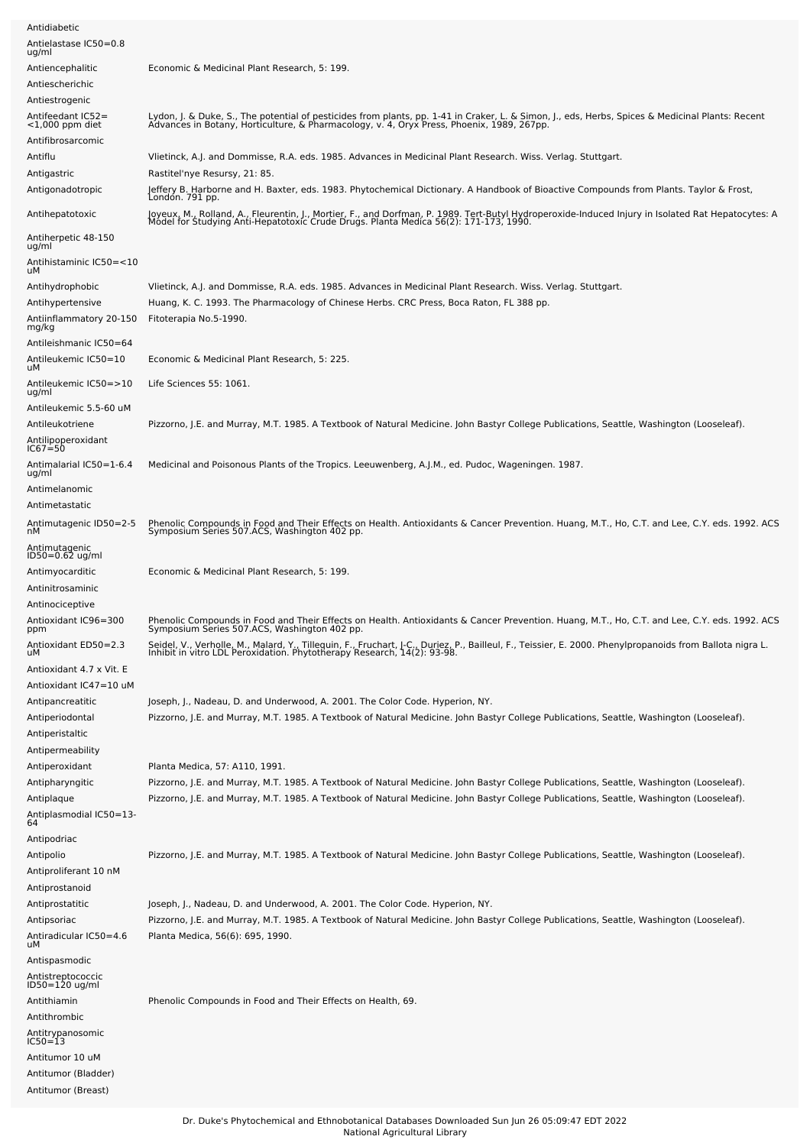| Antidiabetic                                                 |                                                                                                                                                                                                                                                      |
|--------------------------------------------------------------|------------------------------------------------------------------------------------------------------------------------------------------------------------------------------------------------------------------------------------------------------|
| Antielastase IC50=0.8                                        |                                                                                                                                                                                                                                                      |
| ug/ml                                                        |                                                                                                                                                                                                                                                      |
| Antiencephalitic                                             | Economic & Medicinal Plant Research, 5: 199.                                                                                                                                                                                                         |
| Antiescherichic                                              |                                                                                                                                                                                                                                                      |
| Antiestrogenic                                               |                                                                                                                                                                                                                                                      |
| Antifeedant IC52=<br>$<$ 1,000 ppm diet<br>Antifibrosarcomic | Lydon, J. & Duke, S., The potential of pesticides from plants, pp. 1-41 in Craker, L. & Simon, J., eds, Herbs, Spices & Medicinal Plants: Recent<br>Advances in Botany, Horticulture, & Pharmacology, v. 4, Oryx Press, Phoenix,                     |
| Antiflu                                                      | Viletinck, A.J. and Dommisse, R.A. eds. 1985. Advances in Medicinal Plant Research. Wiss. Verlag. Stuttgart.                                                                                                                                         |
| Antigastric                                                  | Rastitel'nye Resursy, 21: 85.                                                                                                                                                                                                                        |
| Antigonadotropic                                             | Jeffery B. Harborne and H. Baxter, eds. 1983. Phytochemical Dictionary. A Handbook of Bioactive Compounds from Plants. Taylor & Frost,                                                                                                               |
| Antihepatotoxic                                              | Londón. 791 pp.<br>Joyeux, M., Rolland, A., Fleurentin, J., Mortier, F., and Dorfman, P. 1989. Tert-Butyl Hydroperoxide-Induced Injury in Isolated Rat Hepatocytes: A<br>Model for Studying Anti-Hepatotoxic Crude Drugs. Planta Medica 56(2): 171-1 |
| Antiherpetic 48-150<br>ug/ml                                 |                                                                                                                                                                                                                                                      |
| Antihistaminic IC50=<10<br>uМ                                |                                                                                                                                                                                                                                                      |
| Antihydrophobic                                              | Vlietinck, A.J. and Dommisse, R.A. eds. 1985. Advances in Medicinal Plant Research. Wiss. Verlag. Stuttgart.                                                                                                                                         |
| Antihypertensive                                             | Huang, K. C. 1993. The Pharmacology of Chinese Herbs. CRC Press, Boca Raton, FL 388 pp.                                                                                                                                                              |
| Antiinflammatory 20-150<br>mg/kg                             | Fitoterapia No.5-1990.                                                                                                                                                                                                                               |
| Antileishmanic IC50=64                                       |                                                                                                                                                                                                                                                      |
| Antileukemic IC50=10<br>uМ                                   | Economic & Medicinal Plant Research, 5: 225.                                                                                                                                                                                                         |
| Antileukemic IC50=>10<br>ug/ml                               | Life Sciences 55: 1061.                                                                                                                                                                                                                              |
| Antileukemic 5.5-60 uM                                       |                                                                                                                                                                                                                                                      |
| Antileukotriene<br>Antilipoperoxidant<br>IC67=50             | Pizzorno, J.E. and Murray, M.T. 1985. A Textbook of Natural Medicine. John Bastyr College Publications, Seattle, Washington (Looseleaf).                                                                                                             |
| Antimalarial IC50=1-6.4<br>ug/ml                             | Medicinal and Poisonous Plants of the Tropics. Leeuwenberg, A.J.M., ed. Pudoc, Wageningen. 1987.                                                                                                                                                     |
| Antimelanomic                                                |                                                                                                                                                                                                                                                      |
| Antimetastatic                                               |                                                                                                                                                                                                                                                      |
| Antimutagenic ID50=2-5<br>nМ                                 | Phenolic Compounds in Food and Their Effects on Health. Antioxidants & Cancer Prevention. Huang, M.T., Ho, C.T. and Lee, C.Y. eds. 1992. ACS<br>Symposium Series 507.ACS, Washington 402 pp.                                                         |
| Antimutagenic<br>$ID50 = 0.62$ ug/ml                         |                                                                                                                                                                                                                                                      |
| Antimyocarditic                                              | Economic & Medicinal Plant Research, 5: 199.                                                                                                                                                                                                         |
| Antinitrosaminic                                             |                                                                                                                                                                                                                                                      |
| Antinociceptive                                              |                                                                                                                                                                                                                                                      |
| Antioxidant IC96=300                                         |                                                                                                                                                                                                                                                      |
| ppm                                                          | Phenolic Compounds in Food and Their Effects on Health. Antioxidants & Cancer Prevention. Huang, M.T., Ho, C.T. and Lee, C.Y. eds. 1992. ACS<br>Symposium Series 507.ACS, Washington 402 pp.                                                         |
| Antioxidant ED50=2.3<br>uМ                                   | Seidel, V., Verholle, M., Malard, Y., Tillequin, F., Fruchart, J-C., Duriez, P., Bailleul, F., Teissier, E. 2000. Phenylpropanoids from Ballota nigra L.<br>Inhibit in vitro LDL Peroxidation. Phytotherapy Research, 14(2): 93-9                    |
| Antioxidant 4.7 x Vit. E                                     |                                                                                                                                                                                                                                                      |
| Antioxidant IC47=10 uM                                       |                                                                                                                                                                                                                                                      |
| Antipancreatitic                                             | Joseph, J., Nadeau, D. and Underwood, A. 2001. The Color Code. Hyperion, NY.                                                                                                                                                                         |
| Antiperiodontal                                              | Pizzorno, J.E. and Murray, M.T. 1985. A Textbook of Natural Medicine. John Bastyr College Publications, Seattle, Washington (Looseleaf).                                                                                                             |
| Antiperistaltic                                              |                                                                                                                                                                                                                                                      |
| Antipermeability                                             |                                                                                                                                                                                                                                                      |
| Antiperoxidant                                               | Planta Medica, 57: A110, 1991.<br>Pizzorno, J.E. and Murray, M.T. 1985. A Textbook of Natural Medicine. John Bastyr College Publications, Seattle, Washington (Looseleaf).                                                                           |
| Antipharyngitic                                              | Pizzorno, J.E. and Murray, M.T. 1985. A Textbook of Natural Medicine. John Bastyr College Publications, Seattle, Washington (Looseleaf).                                                                                                             |
| Antiplaque<br>Antiplasmodial IC50=13-                        |                                                                                                                                                                                                                                                      |
| 64                                                           |                                                                                                                                                                                                                                                      |
| Antipodriac                                                  |                                                                                                                                                                                                                                                      |
| Antipolio                                                    | Pizzorno, J.E. and Murray, M.T. 1985. A Textbook of Natural Medicine. John Bastyr College Publications, Seattle, Washington (Looseleaf).                                                                                                             |
| Antiproliferant 10 nM                                        |                                                                                                                                                                                                                                                      |
| Antiprostanoid                                               |                                                                                                                                                                                                                                                      |
| Antiprostatitic                                              | Joseph, J., Nadeau, D. and Underwood, A. 2001. The Color Code. Hyperion, NY.                                                                                                                                                                         |
| Antipsoriac                                                  | Pizzorno, J.E. and Murray, M.T. 1985. A Textbook of Natural Medicine. John Bastyr College Publications, Seattle, Washington (Looseleaf).                                                                                                             |
| Antiradicular IC50=4.6<br>uМ                                 | Planta Medica, 56(6): 695, 1990.                                                                                                                                                                                                                     |
| Antispasmodic                                                |                                                                                                                                                                                                                                                      |
| Antistreptococcic<br>ID50=120 ug/ml                          |                                                                                                                                                                                                                                                      |
| Antithiamin                                                  | Phenolic Compounds in Food and Their Effects on Health, 69.                                                                                                                                                                                          |
| Antithrombic                                                 |                                                                                                                                                                                                                                                      |
| Antitrypanosomic<br>IC50=13                                  |                                                                                                                                                                                                                                                      |
|                                                              |                                                                                                                                                                                                                                                      |
| Antitumor 10 uM                                              |                                                                                                                                                                                                                                                      |
| Antitumor (Bladder)                                          |                                                                                                                                                                                                                                                      |
| Antitumor (Breast)                                           |                                                                                                                                                                                                                                                      |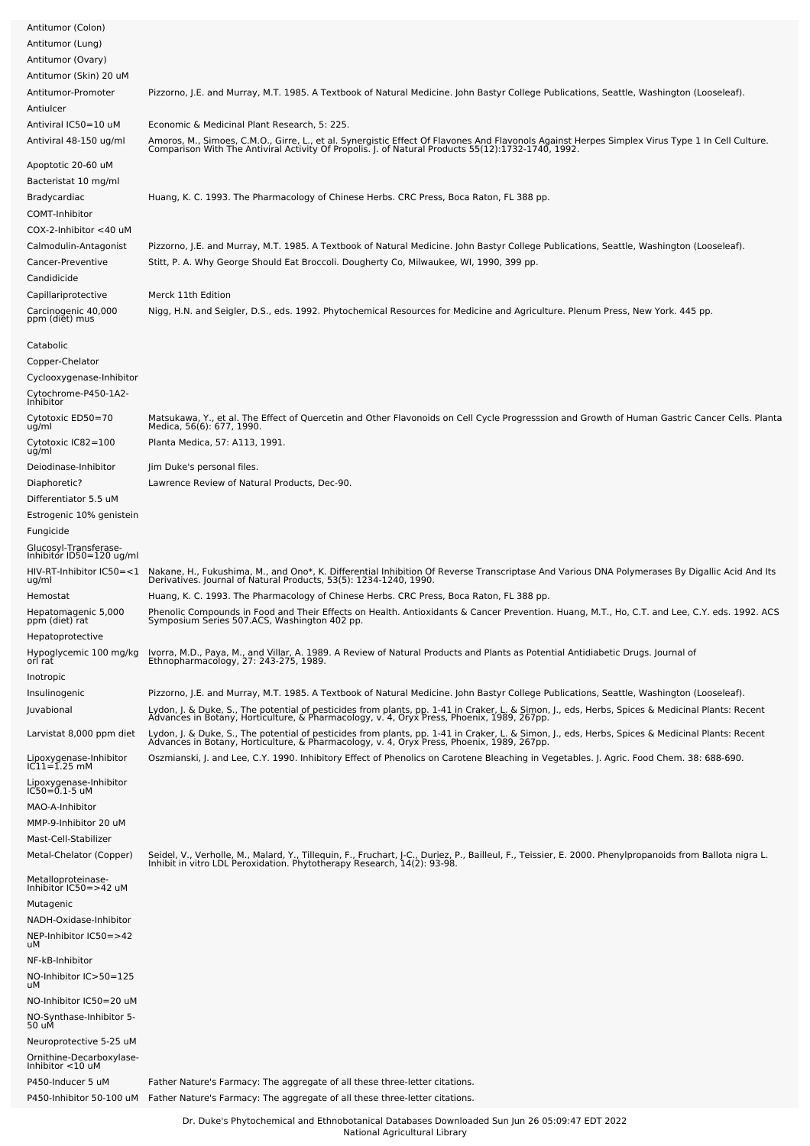| Antitumor (Colon)<br>Antitumor (Lung)<br>Antitumor (Ovary)                                                                    |                                                                                                                                                                                                                                                                                   |
|-------------------------------------------------------------------------------------------------------------------------------|-----------------------------------------------------------------------------------------------------------------------------------------------------------------------------------------------------------------------------------------------------------------------------------|
| Antitumor (Skin) 20 uM<br>Antitumor-Promoter<br>Antiulcer                                                                     | Pizzorno, J.E. and Murray, M.T. 1985. A Textbook of Natural Medicine. John Bastyr College Publications, Seattle, Washington (Looseleaf).                                                                                                                                          |
| Antiviral IC50=10 uM<br>Antiviral 48-150 ug/ml                                                                                | Economic & Medicinal Plant Research, 5: 225.<br>Amoros, M., Simoes, C.M.O., Girre, L., et al. Synergistic Effect Of Flavones And Flavonols Against Herpes Simplex Virus Type 1 In Cell Culture.<br>Comparison With The Antiviral Activity Of Propolis. J. of Natural Products 55( |
| Apoptotic 20-60 uM<br>Bacteristat 10 mg/ml<br>Bradycardiac<br>COMT-Inhibitor                                                  | Huang, K. C. 1993. The Pharmacology of Chinese Herbs. CRC Press, Boca Raton, FL 388 pp.                                                                                                                                                                                           |
| $COX-2$ -Inhibitor $<$ 40 uM<br>Calmodulin-Antagonist<br>Cancer-Preventive<br>Candidicide                                     | Pizzorno, J.E. and Murray, M.T. 1985. A Textbook of Natural Medicine. John Bastyr College Publications, Seattle, Washington (Looseleaf).<br>Stitt, P. A. Why George Should Eat Broccoli. Dougherty Co, Milwaukee, WI, 1990, 399 pp.                                               |
| Capillariprotective<br>Carcinogenic 40,000<br>ppm (diet) mus                                                                  | Merck 11th Edition<br>Nigg, H.N. and Seigler, D.S., eds. 1992. Phytochemical Resources for Medicine and Agriculture. Plenum Press, New York. 445 pp.                                                                                                                              |
| Catabolic<br>Copper-Chelator<br>Cyclooxygenase-Inhibitor<br>Cytochrome-P450-1A2-<br>Inhibitor                                 |                                                                                                                                                                                                                                                                                   |
| Cytotoxic ED50=70<br>ug/ml<br>Cytotoxic IC82=100                                                                              | Matsukawa, Y., et al. The Effect of Quercetin and Other Flavonoids on Cell Cycle Progresssion and Growth of Human Gastric Cancer Cells. Planta<br>Medica, 56(6): 677, 1990.<br>Planta Medica, 57: A113, 1991.                                                                     |
| uğ/ml                                                                                                                         |                                                                                                                                                                                                                                                                                   |
| Deiodinase-Inhibitor<br>Diaphoretic?<br>Differentiator 5.5 uM<br>Estrogenic 10% genistein<br>Fungicide                        | Jim Duke's personal files.<br>Lawrence Review of Natural Products, Dec-90.                                                                                                                                                                                                        |
| Glucosyl-Transferase-<br>Inhibitor ID50=120 ug/ml                                                                             |                                                                                                                                                                                                                                                                                   |
| HIV-RT-Inhibitor IC50=<1                                                                                                      | Nakane, H., Fukushima, M., and Ono*, K. Differential Inhibition Of Reverse Transcriptase And Various DNA Polymerases By Digallic Acid And Its<br>Derivatives. Journal of Natural Products, 53(5): 1234-1240, 1990.                                                                |
| ug/ml<br>Hemostat                                                                                                             | Huang, K. C. 1993. The Pharmacology of Chinese Herbs. CRC Press, Boca Raton, FL 388 pp.                                                                                                                                                                                           |
| Hepatomagenic 5,000<br>ppm (diet) rat<br>Hepatoprotective                                                                     | Phenolic Compounds in Food and Their Effects on Health. Antioxidants & Cancer Prevention. Huang, M.T., Ho, C.T. and Lee, C.Y. eds. 1992. ACS<br>Symposium Series 507.ACS, Washington 402 pp.                                                                                      |
| Hypoglycemic 100 mg/kg<br>orl rat<br>Inotropic                                                                                | Ivorra, M.D., Paya, M., and Villar, A. 1989. A Review of Natural Products and Plants as Potential Antidiabetic Drugs. Journal of<br>Ethnopharmacology, 27: 243-275, 1989.                                                                                                         |
| Insulinogenic                                                                                                                 | Pizzorno, J.E. and Murray, M.T. 1985. A Textbook of Natural Medicine. John Bastyr College Publications, Seattle, Washington (Looseleaf).                                                                                                                                          |
| Juvabional                                                                                                                    | Lydon, J. & Duke, S., The potential of pesticides from plants, pp. 1-41 in Craker, L. & Simon, J., eds, Herbs, Spices & Medicinal Plants: Recent<br>Advances in Botany, Horticulture, & Pharmacology, v. 4, Oryx Press, Phoenix, 1989, 267pp.                                     |
| Larvistat 8,000 ppm diet                                                                                                      | Lydon, J. & Duke, S., The potential of pesticides from plants, pp. 1-41 in Craker, L. & Simon, J., eds, Herbs, Spices & Medicinal Plants: Recent<br>Advances in Botany, Horticulture, & Pharmacology, v. 4, Oryx Press, Phoenix, 1989, 267pp.                                     |
| Lipoxygenase-Inhibitor<br>IC11=1.25 mM<br>Lipoxygenase-Inhibitor<br>IC50=0.1-5 uM<br>MAO-A-Inhibitor<br>MMP-9-Inhibitor 20 uM | Oszmianski, J. and Lee, C.Y. 1990. Inhibitory Effect of Phenolics on Carotene Bleaching in Vegetables. J. Agric. Food Chem. 38: 688-690.                                                                                                                                          |
| Mast-Cell-Stabilizer<br>Metal-Chelator (Copper)                                                                               | Seidel, V., Verholle, M., Malard, Y., Tillequin, F., Fruchart, J-C., Duriez, P., Bailleul, F., Teissier, E. 2000. Phenylpropanoids from Ballota nigra L.<br>Inhibit in vitro LDL Peroxidation. Phytotherapy Research, 14(2): 93-9                                                 |
| Metalloproteinase-<br>Inhibitor IC50=>42 uM<br>Mutagenic<br>NADH-Oxidase-Inhibitor<br>NEP-Inhibitor IC50=>42                  |                                                                                                                                                                                                                                                                                   |
| uМ<br>NF-kB-Inhibitor<br>NO-Inhibitor IC>50=125                                                                               |                                                                                                                                                                                                                                                                                   |
| uМ                                                                                                                            |                                                                                                                                                                                                                                                                                   |
| NO-Inhibitor IC50=20 uM<br>NO-Synthase-Inhibitor 5-<br>50 uM                                                                  |                                                                                                                                                                                                                                                                                   |
| Neuroprotective 5-25 uM<br>Ornithine-Decarboxylase-<br>Inhibitor <10 uM                                                       |                                                                                                                                                                                                                                                                                   |
| P450-Inducer 5 uM                                                                                                             | Father Nature's Farmacy: The aggregate of all these three-letter citations.<br>P450-Inhibitor 50-100 uM Father Nature's Farmacy: The aggregate of all these three-letter citations.                                                                                               |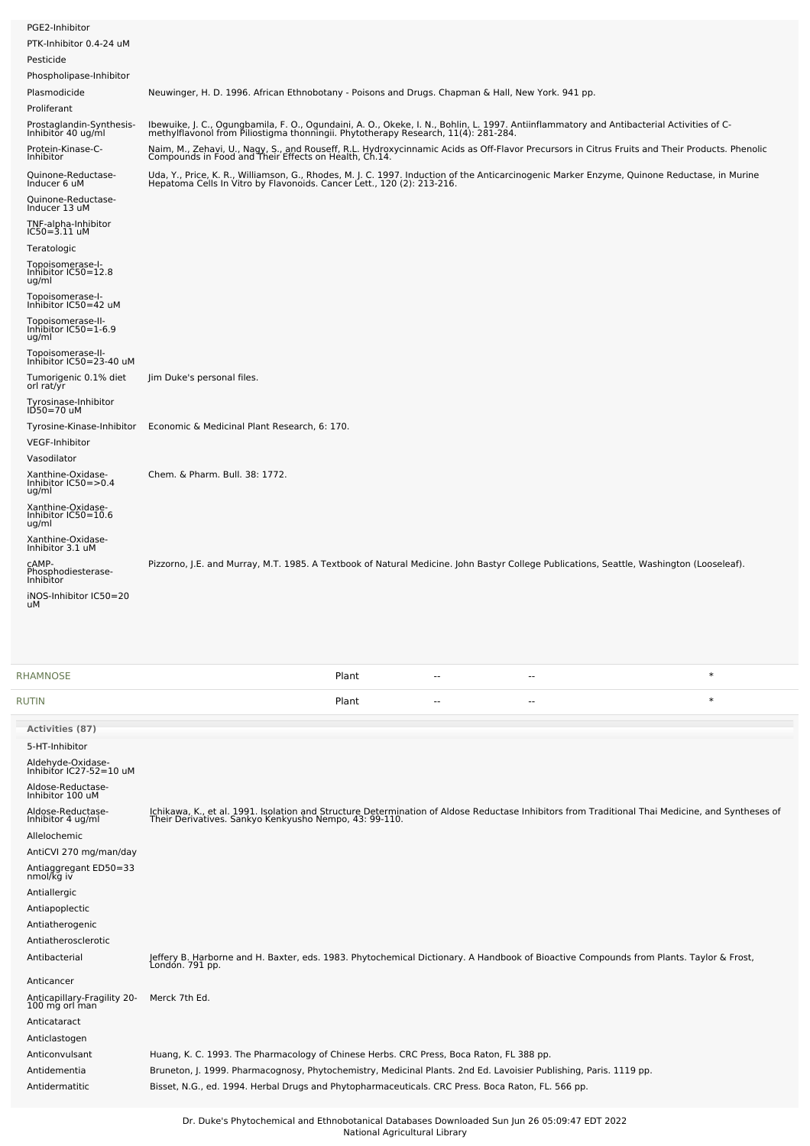| PGE2-Inhibitor                                     |                                                                                                                                                                                                                                 |
|----------------------------------------------------|---------------------------------------------------------------------------------------------------------------------------------------------------------------------------------------------------------------------------------|
| PTK-Inhibitor 0.4-24 uM                            |                                                                                                                                                                                                                                 |
| Pesticide                                          |                                                                                                                                                                                                                                 |
| Phospholipase-Inhibitor                            |                                                                                                                                                                                                                                 |
| Plasmodicide                                       | Neuwinger, H. D. 1996. African Ethnobotany - Poisons and Drugs. Chapman & Hall, New York. 941 pp.                                                                                                                               |
| Proliferant                                        |                                                                                                                                                                                                                                 |
| Prostaglandin-Synthesis-<br>Inhibitor 40 ug/ml     | Ibewuike, J. C., Ogungbamila, F. O., Ogundaini, A. O., Okeke, I. N., Bohlin, L. 1997. Antiinflammatory and Antibacterial Activities of C-<br>methylflavonol from Piliostigma thonningii. Phytotherapy Research, 11(4): 281-284. |
| Protein-Kinase-C-<br>Inhibitor                     | Naim, M., Zehavi, U., Nagy, S., and Rouseff, R.L. Hydroxycinnamic Acids as Off-Flavor Precursors in Citrus Fruits and Their Products. Phenolic<br>Compounds in Food and Their Effects on Health, Ch.14.                         |
| Quinone-Reductase-<br>Inducer 6 uM                 | Uda, Y., Price, K. R., Williamson, G., Rhodes, M. J. C. 1997. Induction of the Anticarcinogenic Marker Enzyme, Quinone Reductase, in Murine<br>Hepatoma Cells In Vitro by Flavonoids. Cancer Lett., 120 (2): 213-216.           |
| Quinone-Reductase-<br>Inducer 13 uM                |                                                                                                                                                                                                                                 |
| TNF-alpha-Inhibitor<br>$IC50 = 3.11$ uM            |                                                                                                                                                                                                                                 |
| Teratologic                                        |                                                                                                                                                                                                                                 |
| Topoisomerase-I-<br>Inhibitor IC50=12.8<br>ug/ml   |                                                                                                                                                                                                                                 |
| Topoisomerase-I-<br>Inhibitor IC50=42 uM           |                                                                                                                                                                                                                                 |
| Topoisomerase-II-<br>Inhibitor IC50=1-6.9<br>ug/ml |                                                                                                                                                                                                                                 |
| Topoisomerase-II-<br>Inhibitor IC50=23-40 uM       |                                                                                                                                                                                                                                 |
| Tumorigenic 0.1% diet<br>orl rat/yr                | Jim Duke's personal files.                                                                                                                                                                                                      |
| Tyrosinase-Inhibitor<br>ID50=70 uM                 |                                                                                                                                                                                                                                 |
| Tyrosine-Kinase-Inhibitor                          | Economic & Medicinal Plant Research, 6: 170.                                                                                                                                                                                    |
| <b>VEGF-Inhibitor</b>                              |                                                                                                                                                                                                                                 |
| Vasodilator                                        |                                                                                                                                                                                                                                 |
| Xanthine-Oxidase-<br>Inhibitor IC50=>0.4<br>ug/ml  | Chem. & Pharm. Bull. 38: 1772.                                                                                                                                                                                                  |
| Xanthine-Oxidase-<br>Inhibitor IC50=10.6<br>ug/ml  |                                                                                                                                                                                                                                 |
| Xanthine-Oxidase-<br>Inhibitor 3.1 uM              |                                                                                                                                                                                                                                 |
| CAMP-<br>Phosphodiesterase-<br>Inhibitor           | Pizzorno, J.E. and Murray, M.T. 1985. A Textbook of Natural Medicine. John Bastyr College Publications, Seattle, Washington (Looseleaf).                                                                                        |
| iNOS-Inhibitor IC50=20<br>uМ                       |                                                                                                                                                                                                                                 |

| <b>RHAMNOSE</b>                               |                                                                                                                                                                                                            | Plant | $-$ | $-$ | $\ast$ |
|-----------------------------------------------|------------------------------------------------------------------------------------------------------------------------------------------------------------------------------------------------------------|-------|-----|-----|--------|
| <b>RUTIN</b>                                  |                                                                                                                                                                                                            | Plant | $-$ | $-$ | $\ast$ |
| Activities (87)                               |                                                                                                                                                                                                            |       |     |     |        |
| 5-HT-Inhibitor                                |                                                                                                                                                                                                            |       |     |     |        |
| Aldehyde-Oxidase-<br>Inhibitor IC27-52=10 uM  |                                                                                                                                                                                                            |       |     |     |        |
| Aldose-Reductase-<br>Inhibitor 100 uM         |                                                                                                                                                                                                            |       |     |     |        |
| Aldose-Reductase-<br>Inhibitor 4 ug/ml        | Ichikawa, K., et al. 1991. Isolation and Structure Determination of Aldose Reductase Inhibitors from Traditional Thai Medicine, and Syntheses of<br>Their Derivatives. Sankyo Kenkyusho Nempo, 43: 99-110. |       |     |     |        |
| Allelochemic                                  |                                                                                                                                                                                                            |       |     |     |        |
| AntiCVI 270 mg/man/day                        |                                                                                                                                                                                                            |       |     |     |        |
| Antiaggregant ED50=33<br>nmol/kg iv           |                                                                                                                                                                                                            |       |     |     |        |
| Antiallergic                                  |                                                                                                                                                                                                            |       |     |     |        |
| Antiapoplectic                                |                                                                                                                                                                                                            |       |     |     |        |
| Antiatherogenic                               |                                                                                                                                                                                                            |       |     |     |        |
| Antiatherosclerotic                           |                                                                                                                                                                                                            |       |     |     |        |
| Antibacterial                                 | Jeffery B. Harborne and H. Baxter, eds. 1983. Phytochemical Dictionary. A Handbook of Bioactive Compounds from Plants. Taylor & Frost,<br>London. 791 pp.                                                  |       |     |     |        |
| Anticancer                                    |                                                                                                                                                                                                            |       |     |     |        |
| Anticapillary-Fragility 20-<br>100 mg orl man | Merck 7th Ed.                                                                                                                                                                                              |       |     |     |        |
| Anticataract                                  |                                                                                                                                                                                                            |       |     |     |        |
| Anticlastogen                                 |                                                                                                                                                                                                            |       |     |     |        |
| Anticonvulsant                                | Huang, K. C. 1993. The Pharmacology of Chinese Herbs. CRC Press, Boca Raton, FL 388 pp.                                                                                                                    |       |     |     |        |
| Antidementia                                  | Bruneton, J. 1999. Pharmacognosy, Phytochemistry, Medicinal Plants. 2nd Ed. Lavoisier Publishing, Paris. 1119 pp.                                                                                          |       |     |     |        |
| Antidermatitic                                | Bisset, N.G., ed. 1994. Herbal Drugs and Phytopharmaceuticals. CRC Press. Boca Raton, FL. 566 pp.                                                                                                          |       |     |     |        |
|                                               |                                                                                                                                                                                                            |       |     |     |        |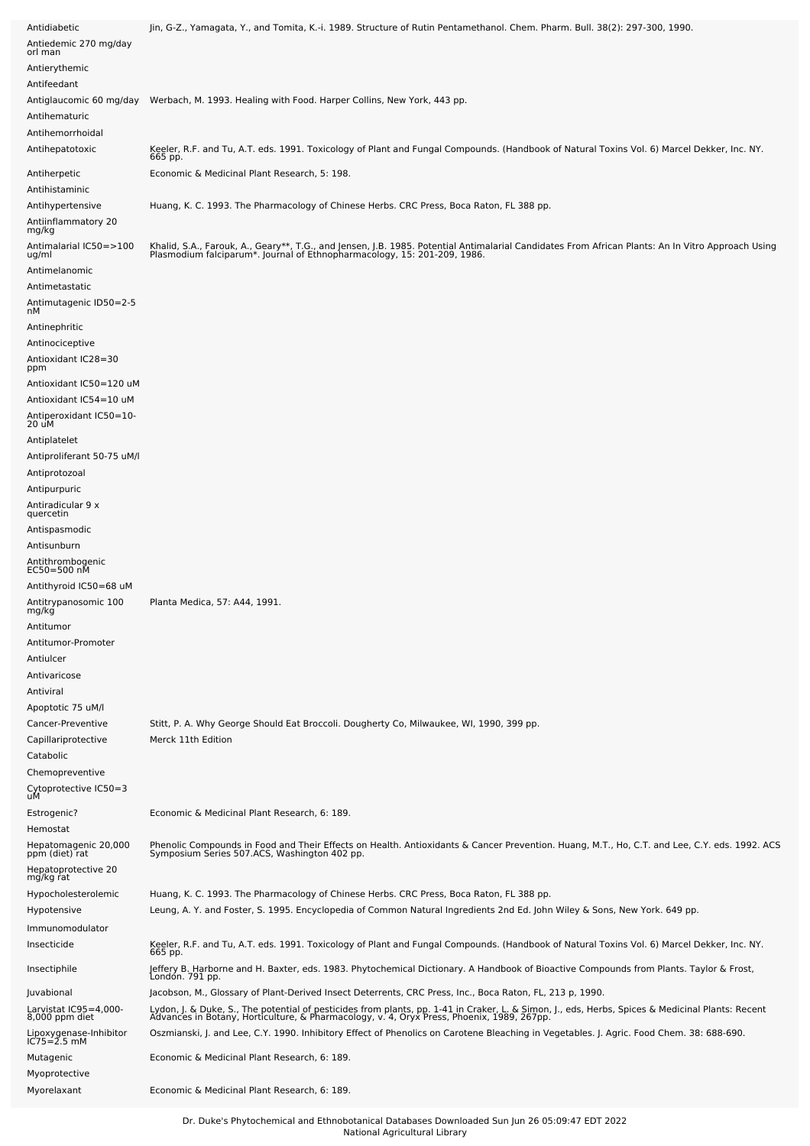| Antidiabetic<br>Antiedemic 270 mg/day<br>orl man                   | Jin, G-Z., Yamagata, Y., and Tomita, K.-i. 1989. Structure of Rutin Pentamethanol. Chem. Pharm. Bull. 38(2): 297-300, 1990.                                                                                                      |
|--------------------------------------------------------------------|----------------------------------------------------------------------------------------------------------------------------------------------------------------------------------------------------------------------------------|
| Antierythemic<br>Antifeedant                                       |                                                                                                                                                                                                                                  |
| Antiglaucomic 60 mg/day<br>Antihematuric<br>Antihemorrhoidal       | Werbach, M. 1993. Healing with Food. Harper Collins, New York, 443 pp.                                                                                                                                                           |
| Antihepatotoxic                                                    | Keeler, R.F. and Tu, A.T. eds. 1991. Toxicology of Plant and Fungal Compounds. (Handbook of Natural Toxins Vol. 6) Marcel Dekker, Inc. NY.<br>665 pp.                                                                            |
| Antiherpetic<br>Antihistaminic                                     | Economic & Medicinal Plant Research, 5: 198.                                                                                                                                                                                     |
| Antihypertensive<br>Antiinflammatory 20<br>mg/kg                   | Huang, K. C. 1993. The Pharmacology of Chinese Herbs. CRC Press, Boca Raton, FL 388 pp.                                                                                                                                          |
| Antimalarial IC50=>100<br>ug/ml<br>Antimelanomic<br>Antimetastatic | Khalid, S.A., Farouk, A., Geary**, T.G., and Jensen, J.B. 1985. Potential Antimalarial Candidates From African Plants: An In Vitro Approach Using<br>Plasmodium falciparum*. Journal of Ethnopharmacology, 15: 201-209, 1986.    |
| Antimutagenic ID50=2-5                                             |                                                                                                                                                                                                                                  |
| nМ<br>Antinephritic                                                |                                                                                                                                                                                                                                  |
| Antinociceptive                                                    |                                                                                                                                                                                                                                  |
| Antioxidant IC28=30<br>ppm                                         |                                                                                                                                                                                                                                  |
| Antioxidant IC50=120 uM                                            |                                                                                                                                                                                                                                  |
| Antioxidant IC54=10 uM<br>Antiperoxidant IC50=10-                  |                                                                                                                                                                                                                                  |
| 20 uM                                                              |                                                                                                                                                                                                                                  |
| Antiplatelet                                                       |                                                                                                                                                                                                                                  |
| Antiproliferant 50-75 uM/l<br>Antiprotozoal                        |                                                                                                                                                                                                                                  |
| Antipurpuric                                                       |                                                                                                                                                                                                                                  |
| Antiradicular 9 x<br>quercetin                                     |                                                                                                                                                                                                                                  |
| Antispasmodic                                                      |                                                                                                                                                                                                                                  |
| Antisunburn                                                        |                                                                                                                                                                                                                                  |
| Antithrombogenic<br>EC50=500 nM                                    |                                                                                                                                                                                                                                  |
| Antithyroid IC50=68 uM                                             |                                                                                                                                                                                                                                  |
| Antitrypanosomic 100<br>mg/kg                                      | Planta Medica, 57: A44, 1991.                                                                                                                                                                                                    |
| Antitumor<br>Antitumor-Promoter                                    |                                                                                                                                                                                                                                  |
| Antiulcer                                                          |                                                                                                                                                                                                                                  |
| Antivaricose                                                       |                                                                                                                                                                                                                                  |
| Antiviral                                                          |                                                                                                                                                                                                                                  |
| Apoptotic 75 uM/l                                                  |                                                                                                                                                                                                                                  |
| Cancer-Preventive<br>Capillariprotective<br>Catabolic              | Stitt, P. A. Why George Should Eat Broccoli. Dougherty Co, Milwaukee, WI, 1990, 399 pp.<br>Merck 11th Edition                                                                                                                    |
| Chemopreventive                                                    |                                                                                                                                                                                                                                  |
| Cytoprotective IC50=3<br>uM                                        |                                                                                                                                                                                                                                  |
| Estrogenic?                                                        | Economic & Medicinal Plant Research, 6: 189.                                                                                                                                                                                     |
| Hemostat                                                           |                                                                                                                                                                                                                                  |
| Hepatomagenic 20,000<br>ppm (diet) rat                             | Phenolic Compounds in Food and Their Effects on Health. Antioxidants & Cancer Prevention. Huang, M.T., Ho, C.T. and Lee, C.Y. eds. 1992. ACS<br>Symposium Series 507.ACS, Washington 402 pp.                                     |
| Hepatoprotective 20<br>mg/kg rat                                   |                                                                                                                                                                                                                                  |
| Hypocholesterolemic                                                | Huang, K. C. 1993. The Pharmacology of Chinese Herbs. CRC Press, Boca Raton, FL 388 pp.                                                                                                                                          |
| Hypotensive                                                        | Leung, A. Y. and Foster, S. 1995. Encyclopedia of Common Natural Ingredients 2nd Ed. John Wiley & Sons, New York. 649 pp.                                                                                                        |
| Immunomodulator                                                    |                                                                                                                                                                                                                                  |
| Insecticide                                                        | Keeler, R.F. and Tu, A.T. eds. 1991. Toxicology of Plant and Fungal Compounds. (Handbook of Natural Toxins Vol. 6) Marcel Dekker, Inc. NY.<br>665 pp.                                                                            |
| Insectiphile                                                       | Jeffery B. Harborne and H. Baxter, eds. 1983. Phytochemical Dictionary. A Handbook of Bioactive Compounds from Plants. Taylor & Frost,<br>Londón. 791 pp.                                                                        |
| Juvabional                                                         | Jacobson, M., Glossary of Plant-Derived Insect Deterrents, CRC Press, Inc., Boca Raton, FL, 213 p, 1990.                                                                                                                         |
| -000-Larvistat IC95=4,000<br>8,000 ppm diet                        | Lydon, J. & Duke, S., The potential of pesticides from plants, pp. 1-41 in Craker, L. & Simon, J., eds, Herbs, Spices & Medicinal Plants: Recent<br>Advances in Botany, Horticulture, & Pharmacology, v. 4, Oryx Press, Phoenix, |
| Lipoxygenase-Inhibitor<br>IC75=2.5 mM                              | Oszmianski, J. and Lee, C.Y. 1990. Inhibitory Effect of Phenolics on Carotene Bleaching in Vegetables. J. Agric. Food Chem. 38: 688-690.                                                                                         |
| Mutagenic<br>Myoprotective                                         | Economic & Medicinal Plant Research, 6: 189.                                                                                                                                                                                     |
| Myorelaxant                                                        | Economic & Medicinal Plant Research, 6: 189.                                                                                                                                                                                     |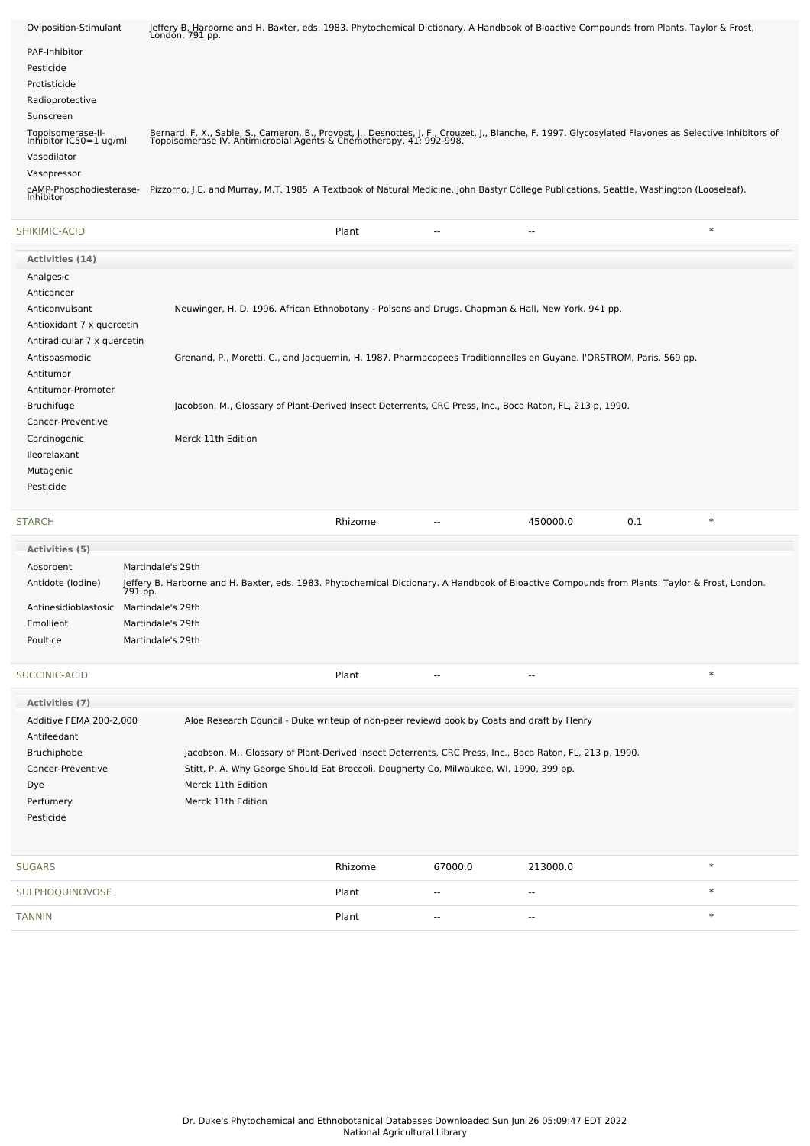| Oviposition-Stimulant                       | Jeffery B. Harborne and H. Baxter, eds. 1983. Phytochemical Dictionary. A Handbook of Bioactive Compounds from Plants. Taylor & Frost,<br>London. 791 pp.                                                                     |
|---------------------------------------------|-------------------------------------------------------------------------------------------------------------------------------------------------------------------------------------------------------------------------------|
| PAF-Inhibitor                               |                                                                                                                                                                                                                               |
| Pesticide                                   |                                                                                                                                                                                                                               |
| Protisticide                                |                                                                                                                                                                                                                               |
| Radioprotective                             |                                                                                                                                                                                                                               |
| Sunscreen                                   |                                                                                                                                                                                                                               |
| Topoisomerase-II-<br>Inhibitor IC50=1 ug/ml | Bernard, F. X., Sable, S., Cameron, B., Provost, J., Desnottes, J. F., Crouzet, J., Blanche, F. 1997. Glycosylated Flavones as Selective Inhibitors of<br>Topoisomerase IV. Antimicrobial Agents & Chemotherapy, 41: 992-998. |
| Vasodilator                                 |                                                                                                                                                                                                                               |
| Vasopressor                                 |                                                                                                                                                                                                                               |
|                                             | cAMP-Phosphodiesterase- Pizzorno, J.E. and Murray, M.T. 1985. A Textbook of Natural Medicine. John Bastyr College Publications, Seattle, Washington (Looseleaf).<br>Inhibitor                                                 |
| SHIKIMIC-ACID                               | $\ast$<br>Plant<br>$-$                                                                                                                                                                                                        |
| Activities (14)                             |                                                                                                                                                                                                                               |
| Analgesic                                   |                                                                                                                                                                                                                               |
| Anticancer                                  |                                                                                                                                                                                                                               |
| Anticonvulsant                              | Neuwinger, H. D. 1996. African Ethnobotany - Poisons and Drugs. Chapman & Hall, New York. 941 pp.                                                                                                                             |
| Antioxidant 7 x quercetin                   |                                                                                                                                                                                                                               |
| Antiradicular 7 x quercetin                 |                                                                                                                                                                                                                               |
| Antispasmodic                               | Grenand, P., Moretti, C., and Jacquemin, H. 1987. Pharmacopees Traditionnelles en Guyane. I'ORSTROM, Paris. 569 pp.                                                                                                           |
| Antitumor                                   |                                                                                                                                                                                                                               |
| Antitumor-Promoter                          |                                                                                                                                                                                                                               |
| <b>Bruchifuge</b>                           | Jacobson, M., Glossary of Plant-Derived Insect Deterrents, CRC Press, Inc., Boca Raton, FL, 213 p, 1990.                                                                                                                      |
| Cancer-Preventive                           |                                                                                                                                                                                                                               |
| Carcinogenic                                | Merck 11th Edition                                                                                                                                                                                                            |
| <b>Ileorelaxant</b>                         |                                                                                                                                                                                                                               |
| Mutagenic                                   |                                                                                                                                                                                                                               |
| Pesticide                                   |                                                                                                                                                                                                                               |
|                                             |                                                                                                                                                                                                                               |

#### [STARCH](file:///phytochem/chemicals/show/16544) Rhizome -- 450000.0 0.1 \*

| <b>Activities</b> (5) |                                                                                                                                                           |
|-----------------------|-----------------------------------------------------------------------------------------------------------------------------------------------------------|
| Absorbent             | Martindale's 29th                                                                                                                                         |
| Antidote (Iodine)     | Jeffery B. Harborne and H. Baxter, eds. 1983. Phytochemical Dictionary. A Handbook of Bioactive Compounds from Plants. Taylor & Frost, London.<br>791 pp. |
| Antinesidioblastosic  | Martindale's 29th                                                                                                                                         |
| Emollient             | Martindale's 29th                                                                                                                                         |
| Poultice              | Martindale's 29th                                                                                                                                         |
|                       |                                                                                                                                                           |

#### [SUCCINIC-ACID](file:///phytochem/chemicals/show/16675) Plant -- -- \*

| Activities (7)          |                                                                                                          |
|-------------------------|----------------------------------------------------------------------------------------------------------|
| Additive FEMA 200-2.000 | Aloe Research Council - Duke writeup of non-peer reviewd book by Coats and draft by Henry                |
| Antifeedant             |                                                                                                          |
| Bruchiphobe             | Jacobson, M., Glossary of Plant-Derived Insect Deterrents, CRC Press, Inc., Boca Raton, FL, 213 p, 1990. |
| Cancer-Preventive       | Stitt, P. A. Why George Should Eat Broccoli. Dougherty Co, Milwaukee, WI, 1990, 399 pp.                  |
| Dye                     | Merck 11th Edition                                                                                       |
| Perfumery               | Merck 11th Edition                                                                                       |
| Pesticide               |                                                                                                          |
|                         |                                                                                                          |

| <b>SUGARS</b>   | Rhizome | 67000.0 | 213000.0 |   |
|-----------------|---------|---------|----------|---|
| SULPHOQUINOVOSE | Plant   | $\sim$  | $- -$    | × |
| <b>TANNIN</b>   | Plant   | $\sim$  | $- -$    | ÷ |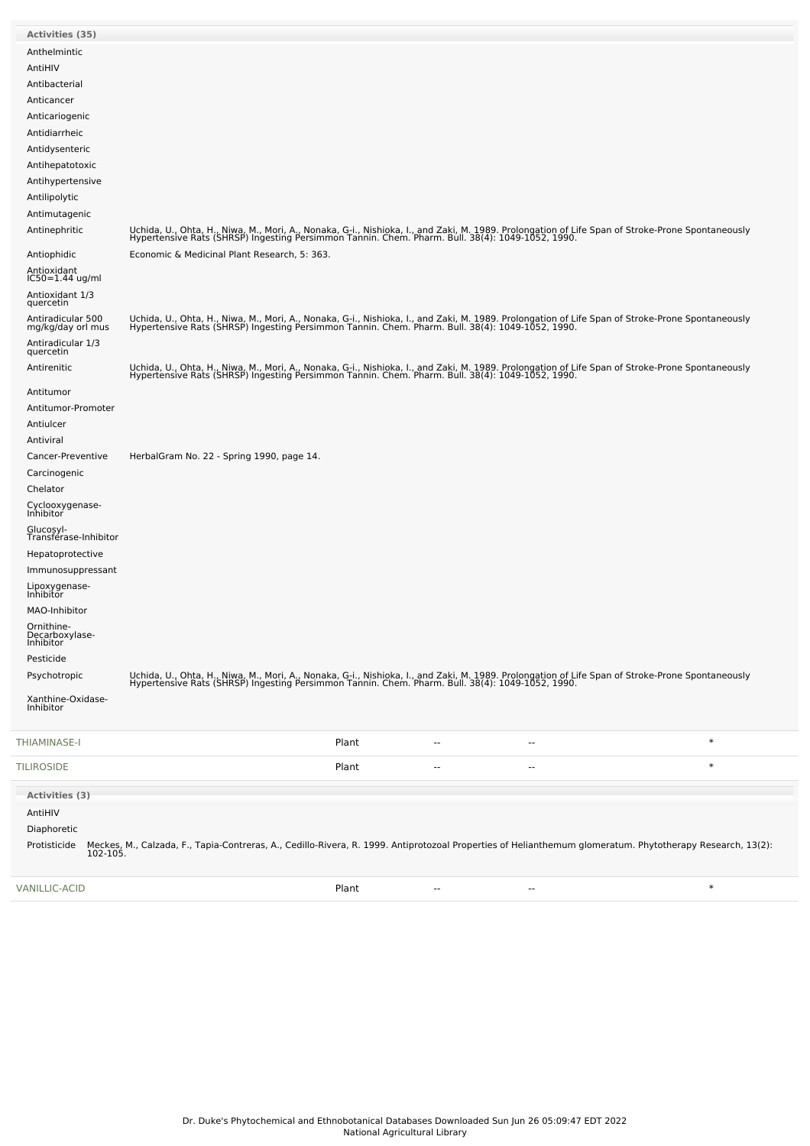| <b>Activities (35)</b>                    |                                                                                                                                                                                                                                   |
|-------------------------------------------|-----------------------------------------------------------------------------------------------------------------------------------------------------------------------------------------------------------------------------------|
| Anthelmintic                              |                                                                                                                                                                                                                                   |
| AntiHIV                                   |                                                                                                                                                                                                                                   |
| Antibacterial                             |                                                                                                                                                                                                                                   |
| Anticancer                                |                                                                                                                                                                                                                                   |
| Anticariogenic                            |                                                                                                                                                                                                                                   |
| Antidiarrheic                             |                                                                                                                                                                                                                                   |
| Antidysenteric                            |                                                                                                                                                                                                                                   |
| Antihepatotoxic                           |                                                                                                                                                                                                                                   |
| Antihypertensive                          |                                                                                                                                                                                                                                   |
| Antilipolytic<br>Antimutagenic            |                                                                                                                                                                                                                                   |
| Antinephritic                             |                                                                                                                                                                                                                                   |
|                                           | Uchida, U., Ohta, H., Niwa, M., Mori, A., Nonaka, G-i., Nishioka, I., and Zaki, M. 1989. Prolongation of Life Span of Stroke-Prone Spontaneously<br>Hypertensive Rats (SHRSP) Ingesting Persimmon Tannin. Chem. Pharm. Bull. 38(4 |
| Antiophidic                               | Economic & Medicinal Plant Research, 5: 363.                                                                                                                                                                                      |
| Antioxidant<br>IC50=1.44 ug/ml            |                                                                                                                                                                                                                                   |
| Antioxidant 1/3<br>quercetin              |                                                                                                                                                                                                                                   |
| Antiradicular 500<br>mg/kg/day orl mus    | Uchida, U., Ohta, H., Niwa, M., Mori, A., Nonaka, G-i., Nishioka, I., and Zaki, M. 1989. Prolongation of Life Span of Stroke-Prone Spontaneously<br>Hypertensive Rats (SHRSP) Ingesting Persimmon Tannin. Chem. Pharm. Bull. 38(4 |
| Antiradicular 1/3<br>quercetin            |                                                                                                                                                                                                                                   |
| Antirenitic                               | Uchida, U., Ohta, H., Niwa, M., Mori, A., Nonaka, G-i., Nishioka, I., and Zaki, M. 1989. Prolongation of Life Span of Stroke-Prone Spontaneously<br>Hypertensive Rats (SHRSP) Ingesting Persimmon Tannin. Chem. Pharm. Bull. 38(4 |
| Antitumor                                 |                                                                                                                                                                                                                                   |
| Antitumor-Promoter                        |                                                                                                                                                                                                                                   |
| Antiulcer                                 |                                                                                                                                                                                                                                   |
| Antiviral                                 |                                                                                                                                                                                                                                   |
| Cancer-Preventive                         | HerbalGram No. 22 - Spring 1990, page 14.                                                                                                                                                                                         |
| Carcinogenic<br>Chelator                  |                                                                                                                                                                                                                                   |
| Cyclooxygenase-<br>Inhibitor              |                                                                                                                                                                                                                                   |
| Glucosyl-<br>Transférase-Inhibitor        |                                                                                                                                                                                                                                   |
| Hepatoprotective                          |                                                                                                                                                                                                                                   |
| Immunosuppressant                         |                                                                                                                                                                                                                                   |
| Lipoxygenase-<br>Inhibitor                |                                                                                                                                                                                                                                   |
| MAO-Inhibitor                             |                                                                                                                                                                                                                                   |
| Ornithine-<br>Decarboxylase-<br>Inhibitor |                                                                                                                                                                                                                                   |
| Pesticide                                 |                                                                                                                                                                                                                                   |
| Psychotropic                              | Uchida, U., Ohta, H., Niwa, M., Mori, A., Nonaka, G-i., Nishioka, I., and Zaki, M. 1989. Prolongation of Life Span of Stroke-Prone Spontaneously<br>Hypertensive Rats (SHRSP) Ingesting Persimmon Tannin. Chem. Pharm. Bull. 38(4 |
| Xanthine-Oxidase-<br>Inhibitor            |                                                                                                                                                                                                                                   |
| THIAMINASE-I                              | $\ast$<br>Plant<br>--<br>$\overline{\phantom{a}}$                                                                                                                                                                                 |
| <b>TILIROSIDE</b>                         | $\ast$<br>Plant<br>۰.<br>۰.                                                                                                                                                                                                       |
| Activities (3)                            |                                                                                                                                                                                                                                   |
| AntiHIV                                   |                                                                                                                                                                                                                                   |
| Diaphoretic                               |                                                                                                                                                                                                                                   |
| Protisticide                              | Meckes, M., Calzada, F., Tapia-Contreras, A., Cedillo-Rivera, R. 1999. Antiprotozoal Properties of Helianthemum glomeratum. Phytotherapy Research, 13(2):<br>102-105.                                                             |
|                                           |                                                                                                                                                                                                                                   |

[VANILLIC-ACID](file:///phytochem/chemicals/show/17792) Plant -- -- \*

 $\sim$